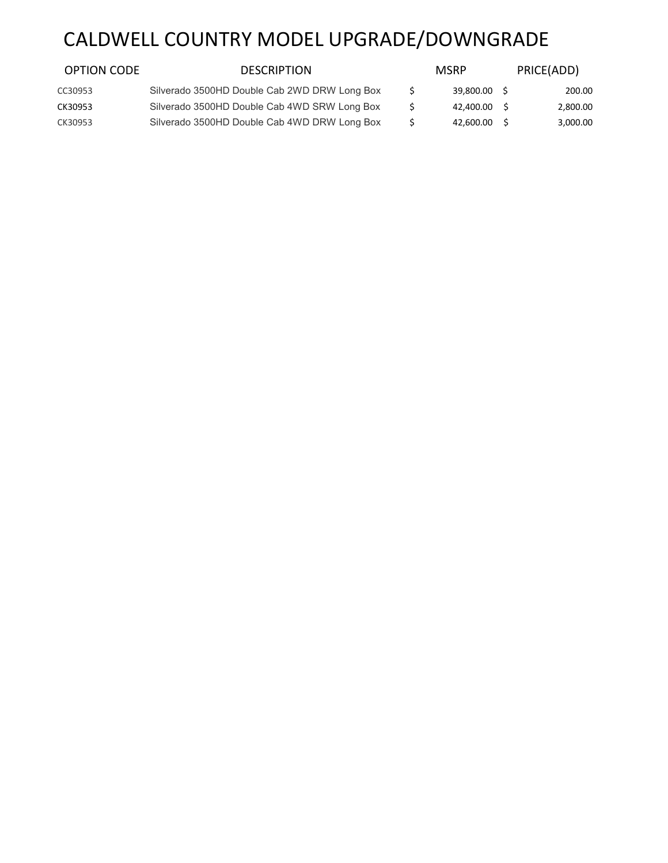## CALDWELL COUNTRY MODEL UPGRADE/DOWNGRADE

| <b>OPTION CODE</b> | <b>DESCRIPTION</b>                           | <b>MSRP</b> |     | PRICE(ADD) |
|--------------------|----------------------------------------------|-------------|-----|------------|
| CC30953            | Silverado 3500HD Double Cab 2WD DRW Long Box | 39.800.00   | - S | 200.00     |
| CK30953            | Silverado 3500HD Double Cab 4WD SRW Long Box | 42.400.00   |     | 2,800.00   |
| CK30953            | Silverado 3500HD Double Cab 4WD DRW Long Box | 42.600.00   |     | 3,000.00   |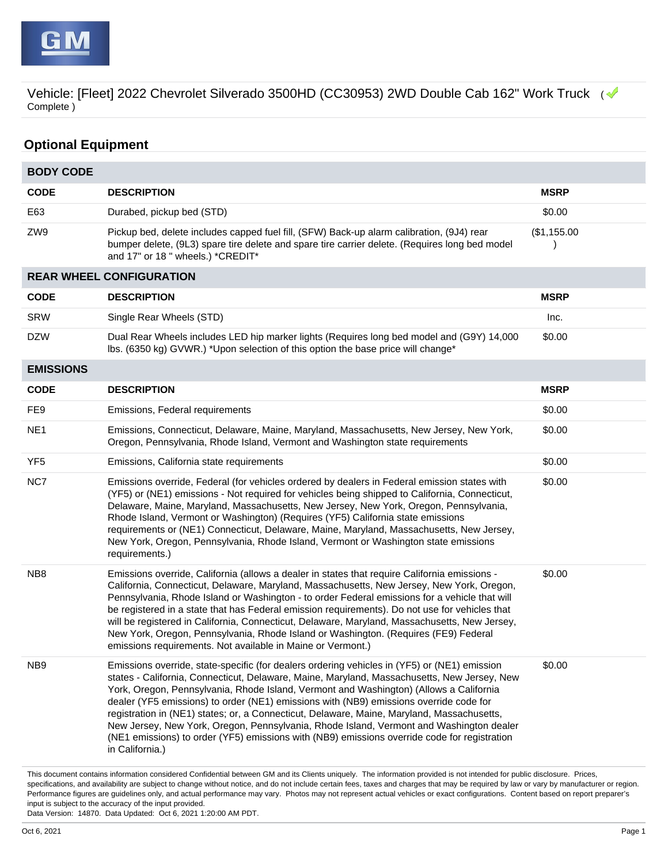

## **Optional Equipment**

| <b>BODY CODE</b> |                                                                                                                                                                                                                                                                                                                                                                                                                                                                                                                                                                                                                                                                                             |             |
|------------------|---------------------------------------------------------------------------------------------------------------------------------------------------------------------------------------------------------------------------------------------------------------------------------------------------------------------------------------------------------------------------------------------------------------------------------------------------------------------------------------------------------------------------------------------------------------------------------------------------------------------------------------------------------------------------------------------|-------------|
| <b>CODE</b>      | <b>DESCRIPTION</b>                                                                                                                                                                                                                                                                                                                                                                                                                                                                                                                                                                                                                                                                          | <b>MSRP</b> |
| E63              | Durabed, pickup bed (STD)                                                                                                                                                                                                                                                                                                                                                                                                                                                                                                                                                                                                                                                                   | \$0.00      |
| ZW9              | Pickup bed, delete includes capped fuel fill, (SFW) Back-up alarm calibration, (9J4) rear<br>bumper delete, (9L3) spare tire delete and spare tire carrier delete. (Requires long bed model<br>and 17" or 18" wheels.) *CREDIT*                                                                                                                                                                                                                                                                                                                                                                                                                                                             | (\$1,155.00 |
|                  | <b>REAR WHEEL CONFIGURATION</b>                                                                                                                                                                                                                                                                                                                                                                                                                                                                                                                                                                                                                                                             |             |
| <b>CODE</b>      | <b>DESCRIPTION</b>                                                                                                                                                                                                                                                                                                                                                                                                                                                                                                                                                                                                                                                                          | <b>MSRP</b> |
| <b>SRW</b>       | Single Rear Wheels (STD)                                                                                                                                                                                                                                                                                                                                                                                                                                                                                                                                                                                                                                                                    | Inc.        |
| <b>DZW</b>       | Dual Rear Wheels includes LED hip marker lights (Requires long bed model and (G9Y) 14,000<br>lbs. (6350 kg) GVWR.) *Upon selection of this option the base price will change*                                                                                                                                                                                                                                                                                                                                                                                                                                                                                                               | \$0.00      |
| <b>EMISSIONS</b> |                                                                                                                                                                                                                                                                                                                                                                                                                                                                                                                                                                                                                                                                                             |             |
| <b>CODE</b>      | <b>DESCRIPTION</b>                                                                                                                                                                                                                                                                                                                                                                                                                                                                                                                                                                                                                                                                          | <b>MSRP</b> |
| FE9              | Emissions, Federal requirements                                                                                                                                                                                                                                                                                                                                                                                                                                                                                                                                                                                                                                                             | \$0.00      |
| NE <sub>1</sub>  | Emissions, Connecticut, Delaware, Maine, Maryland, Massachusetts, New Jersey, New York,<br>Oregon, Pennsylvania, Rhode Island, Vermont and Washington state requirements                                                                                                                                                                                                                                                                                                                                                                                                                                                                                                                    | \$0.00      |
| YF <sub>5</sub>  | Emissions, California state requirements                                                                                                                                                                                                                                                                                                                                                                                                                                                                                                                                                                                                                                                    | \$0.00      |
| NC7              | Emissions override, Federal (for vehicles ordered by dealers in Federal emission states with<br>(YF5) or (NE1) emissions - Not required for vehicles being shipped to California, Connecticut,<br>Delaware, Maine, Maryland, Massachusetts, New Jersey, New York, Oregon, Pennsylvania,<br>Rhode Island, Vermont or Washington) (Requires (YF5) California state emissions<br>requirements or (NE1) Connecticut, Delaware, Maine, Maryland, Massachusetts, New Jersey,<br>New York, Oregon, Pennsylvania, Rhode Island, Vermont or Washington state emissions<br>requirements.)                                                                                                             | \$0.00      |
| NB <sub>8</sub>  | Emissions override, California (allows a dealer in states that require California emissions -<br>California, Connecticut, Delaware, Maryland, Massachusetts, New Jersey, New York, Oregon,<br>Pennsylvania, Rhode Island or Washington - to order Federal emissions for a vehicle that will<br>be registered in a state that has Federal emission requirements). Do not use for vehicles that<br>will be registered in California, Connecticut, Delaware, Maryland, Massachusetts, New Jersey,<br>New York, Oregon, Pennsylvania, Rhode Island or Washington. (Requires (FE9) Federal<br>emissions requirements. Not available in Maine or Vermont.)                                        | \$0.00      |
| NB <sub>9</sub>  | Emissions override, state-specific (for dealers ordering vehicles in (YF5) or (NE1) emission<br>states - California, Connecticut, Delaware, Maine, Maryland, Massachusetts, New Jersey, New<br>York, Oregon, Pennsylvania, Rhode Island, Vermont and Washington) (Allows a California<br>dealer (YF5 emissions) to order (NE1) emissions with (NB9) emissions override code for<br>registration in (NE1) states; or, a Connecticut, Delaware, Maine, Maryland, Massachusetts,<br>New Jersey, New York, Oregon, Pennsylvania, Rhode Island, Vermont and Washington dealer<br>(NE1 emissions) to order (YF5) emissions with (NB9) emissions override code for registration<br>in California.) | \$0.00      |

This document contains information considered Confidential between GM and its Clients uniquely. The information provided is not intended for public disclosure. Prices, specifications, and availability are subject to change without notice, and do not include certain fees, taxes and charges that may be required by law or vary by manufacturer or region. Performance figures are guidelines only, and actual performance may vary. Photos may not represent actual vehicles or exact configurations. Content based on report preparer's input is subject to the accuracy of the input provided.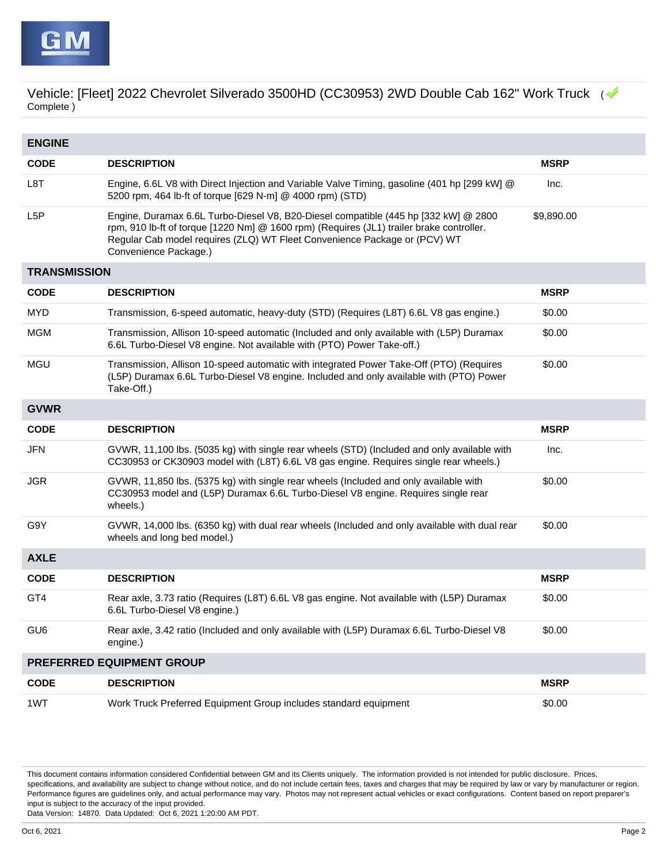

| <b>ENGINE</b>       |                                                                                                                                                                                                                                                                                       |             |
|---------------------|---------------------------------------------------------------------------------------------------------------------------------------------------------------------------------------------------------------------------------------------------------------------------------------|-------------|
| <b>CODE</b>         | <b>DESCRIPTION</b>                                                                                                                                                                                                                                                                    | <b>MSRP</b> |
| L8T                 | Engine, 6.6L V8 with Direct Injection and Variable Valve Timing, gasoline (401 hp [299 kW] @<br>5200 rpm, 464 lb-ft of torque [629 N-m] @ 4000 rpm) (STD)                                                                                                                             | Inc.        |
| L <sub>5</sub> P    | Engine, Duramax 6.6L Turbo-Diesel V8, B20-Diesel compatible (445 hp [332 kW] @ 2800<br>rpm, 910 lb-ft of torque [1220 Nm] @ 1600 rpm) (Requires (JL1) trailer brake controller.<br>Regular Cab model requires (ZLQ) WT Fleet Convenience Package or (PCV) WT<br>Convenience Package.) | \$9,890.00  |
| <b>TRANSMISSION</b> |                                                                                                                                                                                                                                                                                       |             |
| <b>CODE</b>         | <b>DESCRIPTION</b>                                                                                                                                                                                                                                                                    | <b>MSRP</b> |
| <b>MYD</b>          | Transmission, 6-speed automatic, heavy-duty (STD) (Requires (L8T) 6.6L V8 gas engine.)                                                                                                                                                                                                | \$0.00      |
| <b>MGM</b>          | Transmission, Allison 10-speed automatic (Included and only available with (L5P) Duramax<br>6.6L Turbo-Diesel V8 engine. Not available with (PTO) Power Take-off.)                                                                                                                    | \$0.00      |
| <b>MGU</b>          | Transmission, Allison 10-speed automatic with integrated Power Take-Off (PTO) (Requires<br>(L5P) Duramax 6.6L Turbo-Diesel V8 engine. Included and only available with (PTO) Power<br>Take-Off.)                                                                                      | \$0.00      |
| <b>GVWR</b>         |                                                                                                                                                                                                                                                                                       |             |
| <b>CODE</b>         | <b>DESCRIPTION</b>                                                                                                                                                                                                                                                                    | <b>MSRP</b> |
|                     |                                                                                                                                                                                                                                                                                       |             |
| <b>JFN</b>          | GVWR, 11,100 lbs. (5035 kg) with single rear wheels (STD) (Included and only available with<br>CC30953 or CK30903 model with (L8T) 6.6L V8 gas engine. Requires single rear wheels.)                                                                                                  | Inc.        |
| <b>JGR</b>          | GVWR, 11,850 lbs. (5375 kg) with single rear wheels (Included and only available with<br>CC30953 model and (L5P) Duramax 6.6L Turbo-Diesel V8 engine. Requires single rear<br>wheels.)                                                                                                | \$0.00      |
| G9Y                 | GVWR, 14,000 lbs. (6350 kg) with dual rear wheels (Included and only available with dual rear<br>wheels and long bed model.)                                                                                                                                                          | \$0.00      |
| <b>AXLE</b>         |                                                                                                                                                                                                                                                                                       |             |
| <b>CODE</b>         | <b>DESCRIPTION</b>                                                                                                                                                                                                                                                                    | <b>MSRP</b> |
| GT4                 | Rear axle, 3.73 ratio (Requires (L8T) 6.6L V8 gas engine. Not available with (L5P) Duramax<br>6.6L Turbo-Diesel V8 engine.)                                                                                                                                                           | \$0.00      |
| GU <sub>6</sub>     | Rear axle, 3.42 ratio (Included and only available with (L5P) Duramax 6.6L Turbo-Diesel V8<br>engine.)                                                                                                                                                                                | \$0.00      |
|                     | PREFERRED EQUIPMENT GROUP                                                                                                                                                                                                                                                             |             |
| <b>CODE</b>         | <b>DESCRIPTION</b>                                                                                                                                                                                                                                                                    | <b>MSRP</b> |

This document contains information considered Confidential between GM and its Clients uniquely. The information provided is not intended for public disclosure. Prices, specifications, and availability are subject to change without notice, and do not include certain fees, taxes and charges that may be required by law or vary by manufacturer or region. Performance figures are guidelines only, and actual performance may vary. Photos may not represent actual vehicles or exact configurations. Content based on report preparer's input is subject to the accuracy of the input provided.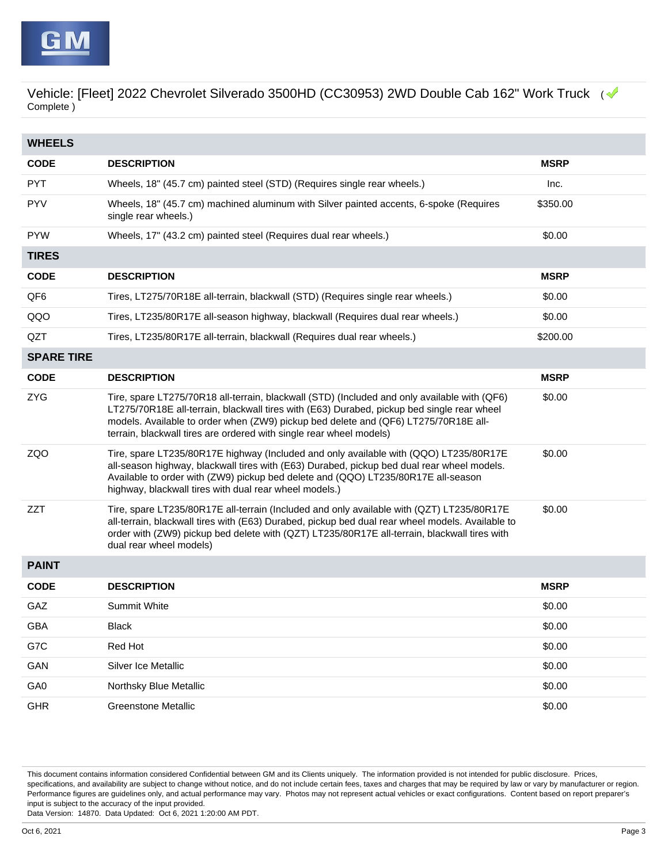

| <b>WHEELS</b>     |                                                                                                                                                                                                                                                                                                                                                          |             |
|-------------------|----------------------------------------------------------------------------------------------------------------------------------------------------------------------------------------------------------------------------------------------------------------------------------------------------------------------------------------------------------|-------------|
| <b>CODE</b>       | <b>DESCRIPTION</b>                                                                                                                                                                                                                                                                                                                                       | <b>MSRP</b> |
| <b>PYT</b>        | Wheels, 18" (45.7 cm) painted steel (STD) (Requires single rear wheels.)                                                                                                                                                                                                                                                                                 | Inc.        |
| <b>PYV</b>        | Wheels, 18" (45.7 cm) machined aluminum with Silver painted accents, 6-spoke (Requires<br>single rear wheels.)                                                                                                                                                                                                                                           | \$350.00    |
| <b>PYW</b>        | Wheels, 17" (43.2 cm) painted steel (Requires dual rear wheels.)                                                                                                                                                                                                                                                                                         | \$0.00      |
| <b>TIRES</b>      |                                                                                                                                                                                                                                                                                                                                                          |             |
| <b>CODE</b>       | <b>DESCRIPTION</b>                                                                                                                                                                                                                                                                                                                                       | <b>MSRP</b> |
| QF <sub>6</sub>   | Tires, LT275/70R18E all-terrain, blackwall (STD) (Requires single rear wheels.)                                                                                                                                                                                                                                                                          | \$0.00      |
| QQO               | Tires, LT235/80R17E all-season highway, blackwall (Requires dual rear wheels.)                                                                                                                                                                                                                                                                           | \$0.00      |
| QZT               | Tires, LT235/80R17E all-terrain, blackwall (Requires dual rear wheels.)                                                                                                                                                                                                                                                                                  | \$200.00    |
| <b>SPARE TIRE</b> |                                                                                                                                                                                                                                                                                                                                                          |             |
| <b>CODE</b>       | <b>DESCRIPTION</b>                                                                                                                                                                                                                                                                                                                                       | <b>MSRP</b> |
| <b>ZYG</b>        | Tire, spare LT275/70R18 all-terrain, blackwall (STD) (Included and only available with (QF6)<br>LT275/70R18E all-terrain, blackwall tires with (E63) Durabed, pickup bed single rear wheel<br>models. Available to order when (ZW9) pickup bed delete and (QF6) LT275/70R18E all-<br>terrain, blackwall tires are ordered with single rear wheel models) | \$0.00      |
| ZQO               | Tire, spare LT235/80R17E highway (Included and only available with (QQO) LT235/80R17E<br>all-season highway, blackwall tires with (E63) Durabed, pickup bed dual rear wheel models.<br>Available to order with (ZW9) pickup bed delete and (QQO) LT235/80R17E all-season<br>highway, blackwall tires with dual rear wheel models.)                       | \$0.00      |
| <b>ZZT</b>        | Tire, spare LT235/80R17E all-terrain (Included and only available with (QZT) LT235/80R17E<br>all-terrain, blackwall tires with (E63) Durabed, pickup bed dual rear wheel models. Available to<br>order with (ZW9) pickup bed delete with (QZT) LT235/80R17E all-terrain, blackwall tires with<br>dual rear wheel models)                                 | \$0.00      |
| <b>PAINT</b>      |                                                                                                                                                                                                                                                                                                                                                          |             |
| <b>CODE</b>       | <b>DESCRIPTION</b>                                                                                                                                                                                                                                                                                                                                       | <b>MSRP</b> |
| GAZ               | <b>Summit White</b>                                                                                                                                                                                                                                                                                                                                      | \$0.00      |
| <b>GBA</b>        | <b>Black</b>                                                                                                                                                                                                                                                                                                                                             | \$0.00      |
| G7C               | Red Hot                                                                                                                                                                                                                                                                                                                                                  | \$0.00      |
| GAN               | Silver Ice Metallic                                                                                                                                                                                                                                                                                                                                      | \$0.00      |
| GA0               | Northsky Blue Metallic                                                                                                                                                                                                                                                                                                                                   | \$0.00      |
| <b>GHR</b>        | <b>Greenstone Metallic</b>                                                                                                                                                                                                                                                                                                                               | \$0.00      |

This document contains information considered Confidential between GM and its Clients uniquely. The information provided is not intended for public disclosure. Prices, specifications, and availability are subject to change without notice, and do not include certain fees, taxes and charges that may be required by law or vary by manufacturer or region. Performance figures are guidelines only, and actual performance may vary. Photos may not represent actual vehicles or exact configurations. Content based on report preparer's input is subject to the accuracy of the input provided.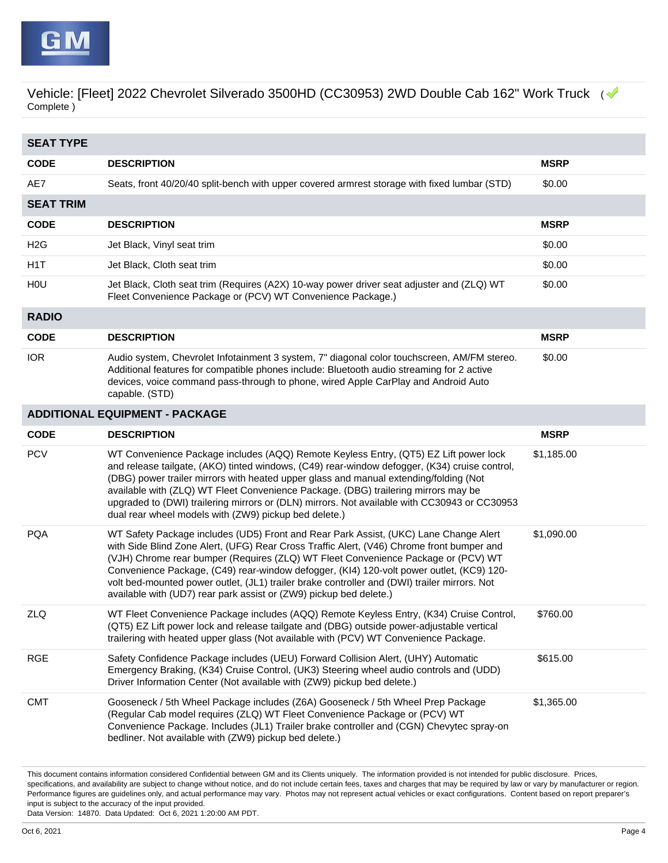

| <b>SEAT TYPE</b> |                                                                                                                                                                                                                                                                                                                                                                                                                                                                                                                                          |             |
|------------------|------------------------------------------------------------------------------------------------------------------------------------------------------------------------------------------------------------------------------------------------------------------------------------------------------------------------------------------------------------------------------------------------------------------------------------------------------------------------------------------------------------------------------------------|-------------|
| <b>CODE</b>      | <b>DESCRIPTION</b>                                                                                                                                                                                                                                                                                                                                                                                                                                                                                                                       | <b>MSRP</b> |
| AE7              | Seats, front 40/20/40 split-bench with upper covered armrest storage with fixed lumbar (STD)                                                                                                                                                                                                                                                                                                                                                                                                                                             | \$0.00      |
| <b>SEAT TRIM</b> |                                                                                                                                                                                                                                                                                                                                                                                                                                                                                                                                          |             |
| <b>CODE</b>      | <b>DESCRIPTION</b>                                                                                                                                                                                                                                                                                                                                                                                                                                                                                                                       | <b>MSRP</b> |
| H <sub>2</sub> G | Jet Black, Vinyl seat trim                                                                                                                                                                                                                                                                                                                                                                                                                                                                                                               | \$0.00      |
| H <sub>1</sub> T | Jet Black, Cloth seat trim                                                                                                                                                                                                                                                                                                                                                                                                                                                                                                               | \$0.00      |
| H <sub>0</sub>   | Jet Black, Cloth seat trim (Requires (A2X) 10-way power driver seat adjuster and (ZLQ) WT<br>Fleet Convenience Package or (PCV) WT Convenience Package.)                                                                                                                                                                                                                                                                                                                                                                                 | \$0.00      |
| <b>RADIO</b>     |                                                                                                                                                                                                                                                                                                                                                                                                                                                                                                                                          |             |
| <b>CODE</b>      | <b>DESCRIPTION</b>                                                                                                                                                                                                                                                                                                                                                                                                                                                                                                                       | <b>MSRP</b> |
| <b>IOR</b>       | Audio system, Chevrolet Infotainment 3 system, 7" diagonal color touchscreen, AM/FM stereo.<br>Additional features for compatible phones include: Bluetooth audio streaming for 2 active<br>devices, voice command pass-through to phone, wired Apple CarPlay and Android Auto<br>capable. (STD)                                                                                                                                                                                                                                         | \$0.00      |
|                  | <b>ADDITIONAL EQUIPMENT - PACKAGE</b>                                                                                                                                                                                                                                                                                                                                                                                                                                                                                                    |             |
| <b>CODE</b>      | <b>DESCRIPTION</b>                                                                                                                                                                                                                                                                                                                                                                                                                                                                                                                       | <b>MSRP</b> |
| <b>PCV</b>       | WT Convenience Package includes (AQQ) Remote Keyless Entry, (QT5) EZ Lift power lock<br>and release tailgate, (AKO) tinted windows, (C49) rear-window defogger, (K34) cruise control,<br>(DBG) power trailer mirrors with heated upper glass and manual extending/folding (Not<br>available with (ZLQ) WT Fleet Convenience Package. (DBG) trailering mirrors may be<br>upgraded to (DWI) trailering mirrors or (DLN) mirrors. Not available with CC30943 or CC30953<br>dual rear wheel models with (ZW9) pickup bed delete.)            | \$1,185.00  |
| <b>PQA</b>       | WT Safety Package includes (UD5) Front and Rear Park Assist, (UKC) Lane Change Alert<br>with Side Blind Zone Alert, (UFG) Rear Cross Traffic Alert, (V46) Chrome front bumper and<br>(VJH) Chrome rear bumper (Requires (ZLQ) WT Fleet Convenience Package or (PCV) WT<br>Convenience Package, (C49) rear-window defogger, (KI4) 120-volt power outlet, (KC9) 120-<br>volt bed-mounted power outlet, (JL1) trailer brake controller and (DWI) trailer mirrors. Not<br>available with (UD7) rear park assist or (ZW9) pickup bed delete.) | \$1,090.00  |
| <b>ZLQ</b>       | WT Fleet Convenience Package includes (AQQ) Remote Keyless Entry, (K34) Cruise Control,<br>(QT5) EZ Lift power lock and release tailgate and (DBG) outside power-adjustable vertical<br>trailering with heated upper glass (Not available with (PCV) WT Convenience Package.                                                                                                                                                                                                                                                             | \$760.00    |
| <b>RGE</b>       | Safety Confidence Package includes (UEU) Forward Collision Alert, (UHY) Automatic<br>Emergency Braking, (K34) Cruise Control, (UK3) Steering wheel audio controls and (UDD)<br>Driver Information Center (Not available with (ZW9) pickup bed delete.)                                                                                                                                                                                                                                                                                   | \$615.00    |
| <b>CMT</b>       | Gooseneck / 5th Wheel Package includes (Z6A) Gooseneck / 5th Wheel Prep Package<br>(Regular Cab model requires (ZLQ) WT Fleet Convenience Package or (PCV) WT<br>Convenience Package. Includes (JL1) Trailer brake controller and (CGN) Chevytec spray-on<br>bedliner. Not available with (ZW9) pickup bed delete.)                                                                                                                                                                                                                      | \$1,365.00  |

This document contains information considered Confidential between GM and its Clients uniquely. The information provided is not intended for public disclosure. Prices, specifications, and availability are subject to change without notice, and do not include certain fees, taxes and charges that may be required by law or vary by manufacturer or region. Performance figures are guidelines only, and actual performance may vary. Photos may not represent actual vehicles or exact configurations. Content based on report preparer's input is subject to the accuracy of the input provided.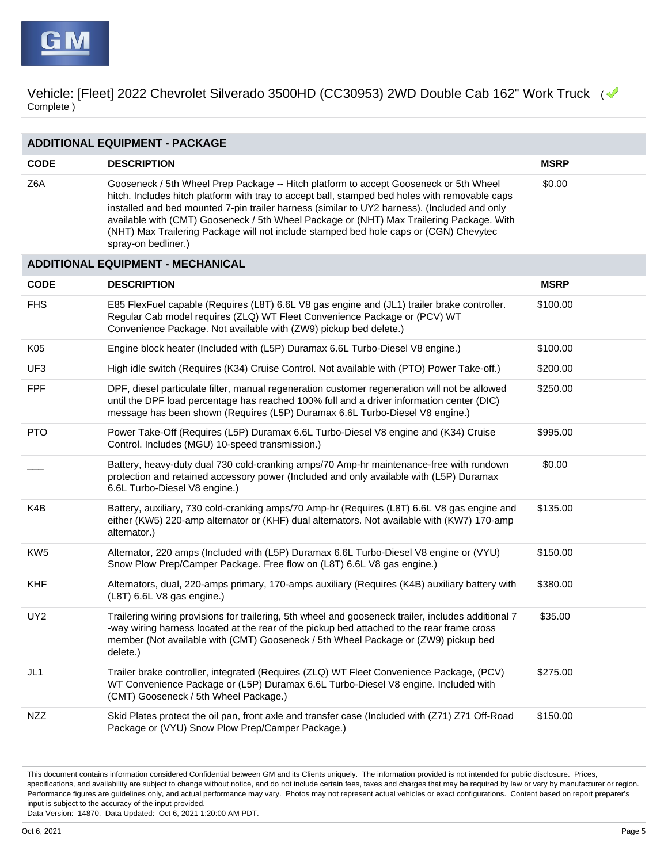| <b>ADDITIONAL EQUIPMENT - PACKAGE</b> |                                                                                                                                                                                                                                                                                                                                                                                                                                                                                                     |             |  |
|---------------------------------------|-----------------------------------------------------------------------------------------------------------------------------------------------------------------------------------------------------------------------------------------------------------------------------------------------------------------------------------------------------------------------------------------------------------------------------------------------------------------------------------------------------|-------------|--|
| <b>CODE</b>                           | <b>DESCRIPTION</b>                                                                                                                                                                                                                                                                                                                                                                                                                                                                                  | <b>MSRP</b> |  |
| Z6A                                   | Gooseneck / 5th Wheel Prep Package -- Hitch platform to accept Gooseneck or 5th Wheel<br>hitch. Includes hitch platform with tray to accept ball, stamped bed holes with removable caps<br>installed and bed mounted 7-pin trailer harness (similar to UY2 harness). (Included and only<br>available with (CMT) Gooseneck / 5th Wheel Package or (NHT) Max Trailering Package. With<br>(NHT) Max Trailering Package will not include stamped bed hole caps or (CGN) Chevytec<br>spray-on bedliner.) | \$0.00      |  |
|                                       | <b>ADDITIONAL EQUIPMENT - MECHANICAL</b>                                                                                                                                                                                                                                                                                                                                                                                                                                                            |             |  |
| <b>CODE</b>                           | <b>DESCRIPTION</b>                                                                                                                                                                                                                                                                                                                                                                                                                                                                                  | <b>MSRP</b> |  |
| <b>FHS</b>                            | E85 FlexFuel capable (Requires (L8T) 6.6L V8 gas engine and (JL1) trailer brake controller.<br>Regular Cab model requires (ZLQ) WT Fleet Convenience Package or (PCV) WT<br>Convenience Package. Not available with (ZW9) pickup bed delete.)                                                                                                                                                                                                                                                       | \$100.00    |  |
| K05                                   | Engine block heater (Included with (L5P) Duramax 6.6L Turbo-Diesel V8 engine.)                                                                                                                                                                                                                                                                                                                                                                                                                      | \$100.00    |  |
| UF3                                   | High idle switch (Requires (K34) Cruise Control. Not available with (PTO) Power Take-off.)                                                                                                                                                                                                                                                                                                                                                                                                          | \$200.00    |  |
| <b>FPF</b>                            | DPF, diesel particulate filter, manual regeneration customer regeneration will not be allowed<br>until the DPF load percentage has reached 100% full and a driver information center (DIC)<br>message has been shown (Requires (L5P) Duramax 6.6L Turbo-Diesel V8 engine.)                                                                                                                                                                                                                          | \$250.00    |  |
| <b>PTO</b>                            | Power Take-Off (Requires (L5P) Duramax 6.6L Turbo-Diesel V8 engine and (K34) Cruise<br>Control. Includes (MGU) 10-speed transmission.)                                                                                                                                                                                                                                                                                                                                                              | \$995.00    |  |
|                                       | Battery, heavy-duty dual 730 cold-cranking amps/70 Amp-hr maintenance-free with rundown<br>protection and retained accessory power (Included and only available with (L5P) Duramax<br>6.6L Turbo-Diesel V8 engine.)                                                                                                                                                                                                                                                                                 | \$0.00      |  |
| K4B                                   | Battery, auxiliary, 730 cold-cranking amps/70 Amp-hr (Requires (L8T) 6.6L V8 gas engine and<br>either (KW5) 220-amp alternator or (KHF) dual alternators. Not available with (KW7) 170-amp<br>alternator.)                                                                                                                                                                                                                                                                                          | \$135.00    |  |
| KW <sub>5</sub>                       | Alternator, 220 amps (Included with (L5P) Duramax 6.6L Turbo-Diesel V8 engine or (VYU)<br>Snow Plow Prep/Camper Package. Free flow on (L8T) 6.6L V8 gas engine.)                                                                                                                                                                                                                                                                                                                                    | \$150.00    |  |
| <b>KHF</b>                            | Alternators, dual, 220-amps primary, 170-amps auxiliary (Requires (K4B) auxiliary battery with<br>(L8T) 6.6L V8 gas engine.)                                                                                                                                                                                                                                                                                                                                                                        | \$380.00    |  |
| UY <sub>2</sub>                       | Trailering wiring provisions for trailering, 5th wheel and gooseneck trailer, includes additional 7<br>-way wiring harness located at the rear of the pickup bed attached to the rear frame cross<br>member (Not available with (CMT) Gooseneck / 5th Wheel Package or (ZW9) pickup bed<br>delete.)                                                                                                                                                                                                 | \$35.00     |  |
| JL1                                   | Trailer brake controller, integrated (Requires (ZLQ) WT Fleet Convenience Package, (PCV)<br>WT Convenience Package or (L5P) Duramax 6.6L Turbo-Diesel V8 engine. Included with<br>(CMT) Gooseneck / 5th Wheel Package.)                                                                                                                                                                                                                                                                             | \$275.00    |  |
| <b>NZZ</b>                            | Skid Plates protect the oil pan, front axle and transfer case (Included with (Z71) Z71 Off-Road<br>Package or (VYU) Snow Plow Prep/Camper Package.)                                                                                                                                                                                                                                                                                                                                                 | \$150.00    |  |

This document contains information considered Confidential between GM and its Clients uniquely. The information provided is not intended for public disclosure. Prices, specifications, and availability are subject to change without notice, and do not include certain fees, taxes and charges that may be required by law or vary by manufacturer or region. Performance figures are guidelines only, and actual performance may vary. Photos may not represent actual vehicles or exact configurations. Content based on report preparer's input is subject to the accuracy of the input provided.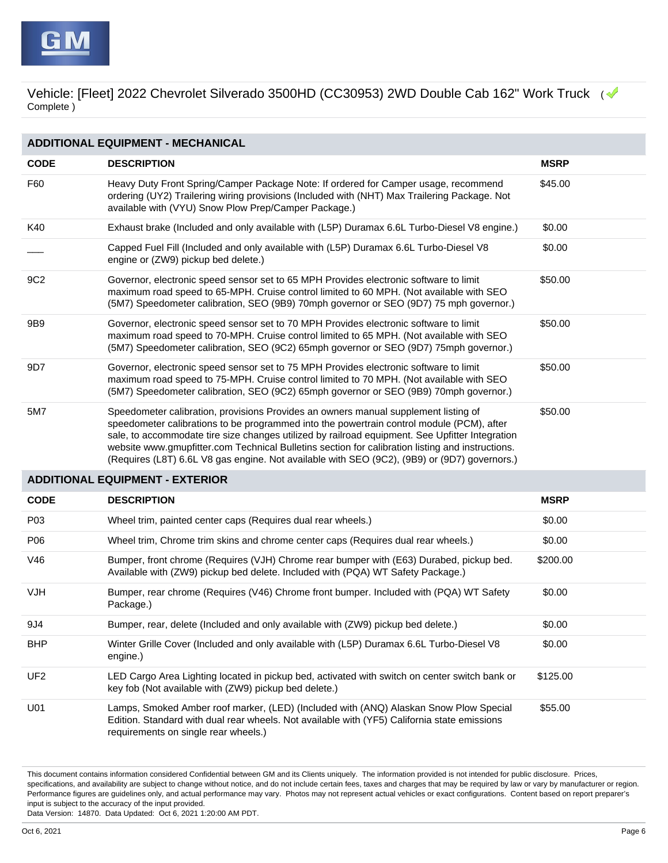

| <b>ADDITIONAL EQUIPMENT - MECHANICAL</b> |                                                                                                                                                                                                                                                                                                                                                                                                                                                                                         |             |  |
|------------------------------------------|-----------------------------------------------------------------------------------------------------------------------------------------------------------------------------------------------------------------------------------------------------------------------------------------------------------------------------------------------------------------------------------------------------------------------------------------------------------------------------------------|-------------|--|
| <b>CODE</b>                              | <b>DESCRIPTION</b>                                                                                                                                                                                                                                                                                                                                                                                                                                                                      | <b>MSRP</b> |  |
| F60                                      | Heavy Duty Front Spring/Camper Package Note: If ordered for Camper usage, recommend<br>ordering (UY2) Trailering wiring provisions (Included with (NHT) Max Trailering Package. Not<br>available with (VYU) Snow Plow Prep/Camper Package.)                                                                                                                                                                                                                                             | \$45.00     |  |
| K40                                      | Exhaust brake (Included and only available with (L5P) Duramax 6.6L Turbo-Diesel V8 engine.)                                                                                                                                                                                                                                                                                                                                                                                             | \$0.00      |  |
|                                          | Capped Fuel Fill (Included and only available with (L5P) Duramax 6.6L Turbo-Diesel V8<br>engine or (ZW9) pickup bed delete.)                                                                                                                                                                                                                                                                                                                                                            | \$0.00      |  |
| 9C <sub>2</sub>                          | Governor, electronic speed sensor set to 65 MPH Provides electronic software to limit<br>maximum road speed to 65-MPH. Cruise control limited to 60 MPH. (Not available with SEO<br>(5M7) Speedometer calibration, SEO (9B9) 70mph governor or SEO (9D7) 75 mph governor.)                                                                                                                                                                                                              | \$50.00     |  |
| 9B9                                      | Governor, electronic speed sensor set to 70 MPH Provides electronic software to limit<br>maximum road speed to 70-MPH. Cruise control limited to 65 MPH. (Not available with SEO<br>(5M7) Speedometer calibration, SEO (9C2) 65mph governor or SEO (9D7) 75mph governor.)                                                                                                                                                                                                               | \$50.00     |  |
| 9D7                                      | Governor, electronic speed sensor set to 75 MPH Provides electronic software to limit<br>maximum road speed to 75-MPH. Cruise control limited to 70 MPH. (Not available with SEO<br>(5M7) Speedometer calibration, SEO (9C2) 65mph governor or SEO (9B9) 70mph governor.)                                                                                                                                                                                                               | \$50.00     |  |
| 5M7                                      | Speedometer calibration, provisions Provides an owners manual supplement listing of<br>speedometer calibrations to be programmed into the powertrain control module (PCM), after<br>sale, to accommodate tire size changes utilized by railroad equipment. See Upfitter Integration<br>website www.gmupfitter.com Technical Bulletins section for calibration listing and instructions.<br>(Requires (L8T) 6.6L V8 gas engine. Not available with SEO (9C2), (9B9) or (9D7) governors.) | \$50.00     |  |
|                                          | <b>ADDITIONAL EQUIPMENT - EXTERIOR</b>                                                                                                                                                                                                                                                                                                                                                                                                                                                  |             |  |
| <b>CODE</b>                              | <b>DESCRIPTION</b>                                                                                                                                                                                                                                                                                                                                                                                                                                                                      | <b>MSRP</b> |  |
| P03                                      | Wheel trim, painted center caps (Requires dual rear wheels.)                                                                                                                                                                                                                                                                                                                                                                                                                            | \$0.00      |  |
| P06                                      | Wheel trim, Chrome trim skins and chrome center caps (Requires dual rear wheels.)                                                                                                                                                                                                                                                                                                                                                                                                       | \$0.00      |  |
| V46                                      | Bumper, front chrome (Requires (VJH) Chrome rear bumper with (E63) Durabed, pickup bed.<br>Available with (ZW9) pickup bed delete. Included with (PQA) WT Safety Package.)                                                                                                                                                                                                                                                                                                              | \$200.00    |  |
| VJH                                      | Bumper, rear chrome (Requires (V46) Chrome front bumper. Included with (PQA) WT Safety<br>Package.)                                                                                                                                                                                                                                                                                                                                                                                     | \$0.00      |  |
| 9J4                                      | Bumper, rear, delete (Included and only available with (ZW9) pickup bed delete.)                                                                                                                                                                                                                                                                                                                                                                                                        | \$0.00      |  |
| <b>BHP</b>                               | Winter Grille Cover (Included and only available with (L5P) Duramax 6.6L Turbo-Diesel V8<br>engine.)                                                                                                                                                                                                                                                                                                                                                                                    | \$0.00      |  |
| UF <sub>2</sub>                          | LED Cargo Area Lighting located in pickup bed, activated with switch on center switch bank or<br>key fob (Not available with (ZW9) pickup bed delete.)                                                                                                                                                                                                                                                                                                                                  | \$125.00    |  |
| U01                                      | Lamps, Smoked Amber roof marker, (LED) (Included with (ANQ) Alaskan Snow Plow Special<br>Edition. Standard with dual rear wheels. Not available with (YF5) California state emissions<br>requirements on single rear wheels.)                                                                                                                                                                                                                                                           | \$55.00     |  |

This document contains information considered Confidential between GM and its Clients uniquely. The information provided is not intended for public disclosure. Prices, specifications, and availability are subject to change without notice, and do not include certain fees, taxes and charges that may be required by law or vary by manufacturer or region. Performance figures are guidelines only, and actual performance may vary. Photos may not represent actual vehicles or exact configurations. Content based on report preparer's input is subject to the accuracy of the input provided.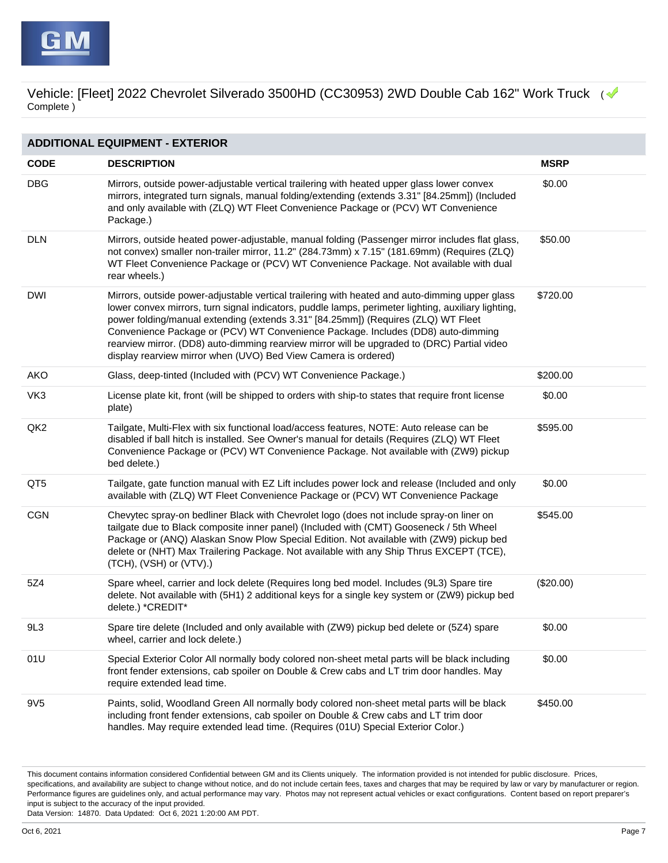

| <b>ADDITIONAL EQUIPMENT - EXTERIOR</b> |                                                                                                                                                                                                                                                                                                                                                                                                                                                                                                                                                 |             |  |
|----------------------------------------|-------------------------------------------------------------------------------------------------------------------------------------------------------------------------------------------------------------------------------------------------------------------------------------------------------------------------------------------------------------------------------------------------------------------------------------------------------------------------------------------------------------------------------------------------|-------------|--|
| <b>CODE</b>                            | <b>DESCRIPTION</b>                                                                                                                                                                                                                                                                                                                                                                                                                                                                                                                              | <b>MSRP</b> |  |
| <b>DBG</b>                             | Mirrors, outside power-adjustable vertical trailering with heated upper glass lower convex<br>mirrors, integrated turn signals, manual folding/extending (extends 3.31" [84.25mm]) (Included<br>and only available with (ZLQ) WT Fleet Convenience Package or (PCV) WT Convenience<br>Package.)                                                                                                                                                                                                                                                 | \$0.00      |  |
| <b>DLN</b>                             | Mirrors, outside heated power-adjustable, manual folding (Passenger mirror includes flat glass,<br>not convex) smaller non-trailer mirror, 11.2" (284.73mm) x 7.15" (181.69mm) (Requires (ZLQ)<br>WT Fleet Convenience Package or (PCV) WT Convenience Package. Not available with dual<br>rear wheels.)                                                                                                                                                                                                                                        | \$50.00     |  |
| <b>DWI</b>                             | Mirrors, outside power-adjustable vertical trailering with heated and auto-dimming upper glass<br>lower convex mirrors, turn signal indicators, puddle lamps, perimeter lighting, auxiliary lighting,<br>power folding/manual extending (extends 3.31" [84.25mm]) (Requires (ZLQ) WT Fleet<br>Convenience Package or (PCV) WT Convenience Package. Includes (DD8) auto-dimming<br>rearview mirror. (DD8) auto-dimming rearview mirror will be upgraded to (DRC) Partial video<br>display rearview mirror when (UVO) Bed View Camera is ordered) | \$720.00    |  |
| AKO                                    | Glass, deep-tinted (Included with (PCV) WT Convenience Package.)                                                                                                                                                                                                                                                                                                                                                                                                                                                                                | \$200.00    |  |
| VK3                                    | License plate kit, front (will be shipped to orders with ship-to states that require front license<br>plate)                                                                                                                                                                                                                                                                                                                                                                                                                                    | \$0.00      |  |
| QK <sub>2</sub>                        | Tailgate, Multi-Flex with six functional load/access features, NOTE: Auto release can be<br>disabled if ball hitch is installed. See Owner's manual for details (Requires (ZLQ) WT Fleet<br>Convenience Package or (PCV) WT Convenience Package. Not available with (ZW9) pickup<br>bed delete.)                                                                                                                                                                                                                                                | \$595.00    |  |
| QT <sub>5</sub>                        | Tailgate, gate function manual with EZ Lift includes power lock and release (Included and only<br>available with (ZLQ) WT Fleet Convenience Package or (PCV) WT Convenience Package                                                                                                                                                                                                                                                                                                                                                             | \$0.00      |  |
| <b>CGN</b>                             | Chevytec spray-on bedliner Black with Chevrolet logo (does not include spray-on liner on<br>tailgate due to Black composite inner panel) (Included with (CMT) Gooseneck / 5th Wheel<br>Package or (ANQ) Alaskan Snow Plow Special Edition. Not available with (ZW9) pickup bed<br>delete or (NHT) Max Trailering Package. Not available with any Ship Thrus EXCEPT (TCE),<br>(TCH), (VSH) or (VTV).)                                                                                                                                            | \$545.00    |  |
| 5Z4                                    | Spare wheel, carrier and lock delete (Requires long bed model. Includes (9L3) Spare tire<br>delete. Not available with (5H1) 2 additional keys for a single key system or (ZW9) pickup bed<br>delete.) *CREDIT*                                                                                                                                                                                                                                                                                                                                 | (\$20.00)   |  |
| 9L3                                    | Spare tire delete (Included and only available with (ZW9) pickup bed delete or (5Z4) spare<br>wheel, carrier and lock delete.)                                                                                                                                                                                                                                                                                                                                                                                                                  | \$0.00      |  |
| 01U                                    | Special Exterior Color All normally body colored non-sheet metal parts will be black including<br>front fender extensions, cab spoiler on Double & Crew cabs and LT trim door handles. May<br>require extended lead time.                                                                                                                                                                                                                                                                                                                       | \$0.00      |  |
| 9V <sub>5</sub>                        | Paints, solid, Woodland Green All normally body colored non-sheet metal parts will be black<br>including front fender extensions, cab spoiler on Double & Crew cabs and LT trim door<br>handles. May require extended lead time. (Requires (01U) Special Exterior Color.)                                                                                                                                                                                                                                                                       | \$450.00    |  |

This document contains information considered Confidential between GM and its Clients uniquely. The information provided is not intended for public disclosure. Prices, specifications, and availability are subject to change without notice, and do not include certain fees, taxes and charges that may be required by law or vary by manufacturer or region. Performance figures are guidelines only, and actual performance may vary. Photos may not represent actual vehicles or exact configurations. Content based on report preparer's input is subject to the accuracy of the input provided.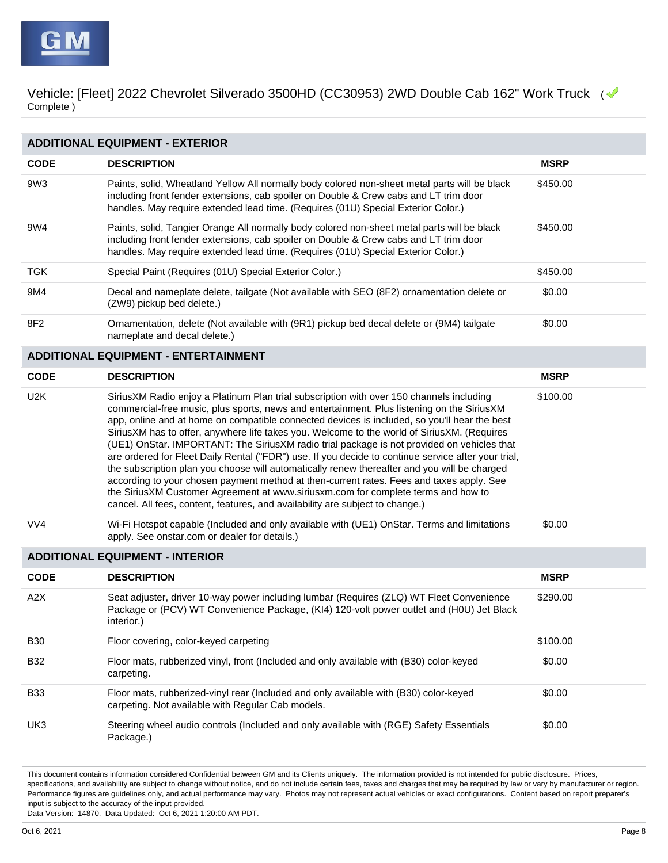

| <b>ADDITIONAL EQUIPMENT - EXTERIOR</b> |                                                                                                                                                                                                                                                                                                                                                                                                                                                                                                                                                                                                                                                                                                                                                                                                                                                                                                                                                              |             |  |
|----------------------------------------|--------------------------------------------------------------------------------------------------------------------------------------------------------------------------------------------------------------------------------------------------------------------------------------------------------------------------------------------------------------------------------------------------------------------------------------------------------------------------------------------------------------------------------------------------------------------------------------------------------------------------------------------------------------------------------------------------------------------------------------------------------------------------------------------------------------------------------------------------------------------------------------------------------------------------------------------------------------|-------------|--|
| <b>CODE</b>                            | <b>DESCRIPTION</b>                                                                                                                                                                                                                                                                                                                                                                                                                                                                                                                                                                                                                                                                                                                                                                                                                                                                                                                                           | <b>MSRP</b> |  |
| 9W3                                    | Paints, solid, Wheatland Yellow All normally body colored non-sheet metal parts will be black<br>including front fender extensions, cab spoiler on Double & Crew cabs and LT trim door<br>handles. May require extended lead time. (Requires (01U) Special Exterior Color.)                                                                                                                                                                                                                                                                                                                                                                                                                                                                                                                                                                                                                                                                                  | \$450.00    |  |
| 9W4                                    | Paints, solid, Tangier Orange All normally body colored non-sheet metal parts will be black<br>including front fender extensions, cab spoiler on Double & Crew cabs and LT trim door<br>handles. May require extended lead time. (Requires (01U) Special Exterior Color.)                                                                                                                                                                                                                                                                                                                                                                                                                                                                                                                                                                                                                                                                                    | \$450.00    |  |
| <b>TGK</b>                             | Special Paint (Requires (01U) Special Exterior Color.)                                                                                                                                                                                                                                                                                                                                                                                                                                                                                                                                                                                                                                                                                                                                                                                                                                                                                                       | \$450.00    |  |
| 9M4                                    | Decal and nameplate delete, tailgate (Not available with SEO (8F2) ornamentation delete or<br>(ZW9) pickup bed delete.)                                                                                                                                                                                                                                                                                                                                                                                                                                                                                                                                                                                                                                                                                                                                                                                                                                      | \$0.00      |  |
| 8F2                                    | Ornamentation, delete (Not available with (9R1) pickup bed decal delete or (9M4) tailgate<br>nameplate and decal delete.)                                                                                                                                                                                                                                                                                                                                                                                                                                                                                                                                                                                                                                                                                                                                                                                                                                    | \$0.00      |  |
|                                        | <b>ADDITIONAL EQUIPMENT - ENTERTAINMENT</b>                                                                                                                                                                                                                                                                                                                                                                                                                                                                                                                                                                                                                                                                                                                                                                                                                                                                                                                  |             |  |
| <b>CODE</b>                            | <b>DESCRIPTION</b>                                                                                                                                                                                                                                                                                                                                                                                                                                                                                                                                                                                                                                                                                                                                                                                                                                                                                                                                           | <b>MSRP</b> |  |
| U <sub>2</sub> K                       | SiriusXM Radio enjoy a Platinum Plan trial subscription with over 150 channels including<br>commercial-free music, plus sports, news and entertainment. Plus listening on the SiriusXM<br>app, online and at home on compatible connected devices is included, so you'll hear the best<br>SiriusXM has to offer, anywhere life takes you. Welcome to the world of SiriusXM. (Requires<br>(UE1) OnStar. IMPORTANT: The SiriusXM radio trial package is not provided on vehicles that<br>are ordered for Fleet Daily Rental ("FDR") use. If you decide to continue service after your trial,<br>the subscription plan you choose will automatically renew thereafter and you will be charged<br>according to your chosen payment method at then-current rates. Fees and taxes apply. See<br>the SiriusXM Customer Agreement at www.siriusxm.com for complete terms and how to<br>cancel. All fees, content, features, and availability are subject to change.) | \$100.00    |  |
| VV4                                    | Wi-Fi Hotspot capable (Included and only available with (UE1) OnStar. Terms and limitations<br>apply. See onstar.com or dealer for details.)                                                                                                                                                                                                                                                                                                                                                                                                                                                                                                                                                                                                                                                                                                                                                                                                                 | \$0.00      |  |
|                                        | <b>ADDITIONAL EQUIPMENT - INTERIOR</b>                                                                                                                                                                                                                                                                                                                                                                                                                                                                                                                                                                                                                                                                                                                                                                                                                                                                                                                       |             |  |
| <b>CODE</b>                            | <b>DESCRIPTION</b>                                                                                                                                                                                                                                                                                                                                                                                                                                                                                                                                                                                                                                                                                                                                                                                                                                                                                                                                           | <b>MSRP</b> |  |
| A2X                                    | Seat adjuster, driver 10-way power including lumbar (Requires (ZLQ) WT Fleet Convenience<br>Package or (PCV) WT Convenience Package, (KI4) 120-volt power outlet and (H0U) Jet Black<br>interior.)                                                                                                                                                                                                                                                                                                                                                                                                                                                                                                                                                                                                                                                                                                                                                           | \$290.00    |  |
| <b>B30</b>                             | Floor covering, color-keyed carpeting                                                                                                                                                                                                                                                                                                                                                                                                                                                                                                                                                                                                                                                                                                                                                                                                                                                                                                                        | \$100.00    |  |
| <b>B32</b>                             | Floor mats, rubberized vinyl, front (Included and only available with (B30) color-keyed<br>carpeting.                                                                                                                                                                                                                                                                                                                                                                                                                                                                                                                                                                                                                                                                                                                                                                                                                                                        | \$0.00      |  |
| <b>B33</b>                             | Floor mats, rubberized-vinyl rear (Included and only available with (B30) color-keyed<br>carpeting. Not available with Regular Cab models.                                                                                                                                                                                                                                                                                                                                                                                                                                                                                                                                                                                                                                                                                                                                                                                                                   | \$0.00      |  |
| UK3                                    | Steering wheel audio controls (Included and only available with (RGE) Safety Essentials<br>Package.)                                                                                                                                                                                                                                                                                                                                                                                                                                                                                                                                                                                                                                                                                                                                                                                                                                                         | \$0.00      |  |

This document contains information considered Confidential between GM and its Clients uniquely. The information provided is not intended for public disclosure. Prices, specifications, and availability are subject to change without notice, and do not include certain fees, taxes and charges that may be required by law or vary by manufacturer or region. Performance figures are guidelines only, and actual performance may vary. Photos may not represent actual vehicles or exact configurations. Content based on report preparer's input is subject to the accuracy of the input provided.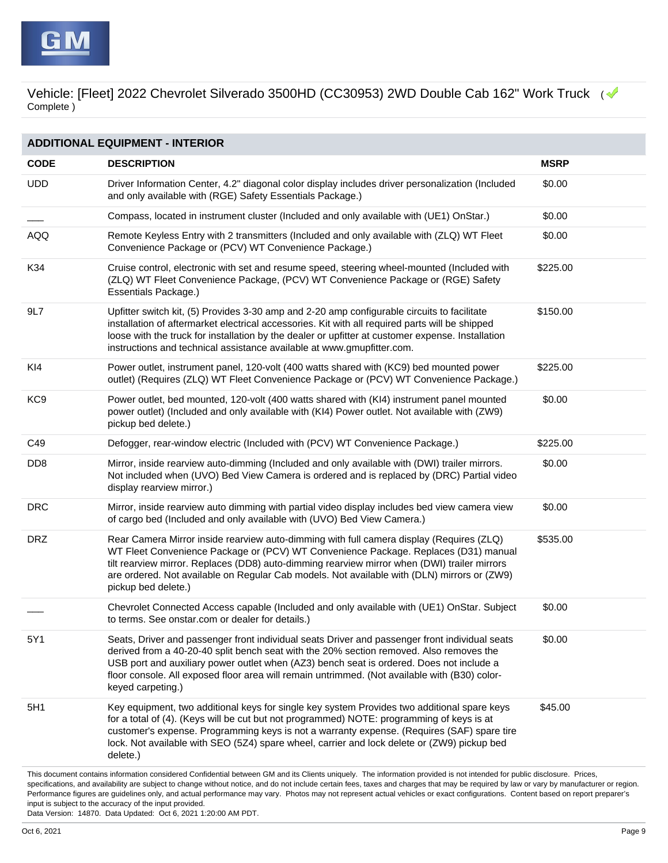| <b>ADDITIONAL EQUIPMENT - INTERIOR</b>                                                                                                                                  |                                                                                                                                                                                                                                                                                                                                                                                                             |             |  |
|-------------------------------------------------------------------------------------------------------------------------------------------------------------------------|-------------------------------------------------------------------------------------------------------------------------------------------------------------------------------------------------------------------------------------------------------------------------------------------------------------------------------------------------------------------------------------------------------------|-------------|--|
| <b>CODE</b>                                                                                                                                                             | <b>DESCRIPTION</b>                                                                                                                                                                                                                                                                                                                                                                                          | <b>MSRP</b> |  |
| <b>UDD</b>                                                                                                                                                              | Driver Information Center, 4.2" diagonal color display includes driver personalization (Included<br>and only available with (RGE) Safety Essentials Package.)                                                                                                                                                                                                                                               | \$0.00      |  |
|                                                                                                                                                                         | Compass, located in instrument cluster (Included and only available with (UE1) OnStar.)                                                                                                                                                                                                                                                                                                                     | \$0.00      |  |
| AQQ                                                                                                                                                                     | Remote Keyless Entry with 2 transmitters (Included and only available with (ZLQ) WT Fleet<br>Convenience Package or (PCV) WT Convenience Package.)                                                                                                                                                                                                                                                          | \$0.00      |  |
| K34                                                                                                                                                                     | Cruise control, electronic with set and resume speed, steering wheel-mounted (Included with<br>(ZLQ) WT Fleet Convenience Package, (PCV) WT Convenience Package or (RGE) Safety<br>Essentials Package.)                                                                                                                                                                                                     | \$225.00    |  |
| 9L7                                                                                                                                                                     | Upfitter switch kit, (5) Provides 3-30 amp and 2-20 amp configurable circuits to facilitate<br>installation of aftermarket electrical accessories. Kit with all required parts will be shipped<br>loose with the truck for installation by the dealer or upfitter at customer expense. Installation<br>instructions and technical assistance available at www.gmupfitter.com.                               | \$150.00    |  |
| KI4                                                                                                                                                                     | Power outlet, instrument panel, 120-volt (400 watts shared with (KC9) bed mounted power<br>outlet) (Requires (ZLQ) WT Fleet Convenience Package or (PCV) WT Convenience Package.)                                                                                                                                                                                                                           | \$225.00    |  |
| KC <sub>9</sub>                                                                                                                                                         | Power outlet, bed mounted, 120-volt (400 watts shared with (KI4) instrument panel mounted<br>power outlet) (Included and only available with (KI4) Power outlet. Not available with (ZW9)<br>pickup bed delete.)                                                                                                                                                                                            | \$0.00      |  |
| C49                                                                                                                                                                     | Defogger, rear-window electric (Included with (PCV) WT Convenience Package.)                                                                                                                                                                                                                                                                                                                                | \$225.00    |  |
| DD <sub>8</sub>                                                                                                                                                         | Mirror, inside rearview auto-dimming (Included and only available with (DWI) trailer mirrors.<br>Not included when (UVO) Bed View Camera is ordered and is replaced by (DRC) Partial video<br>display rearview mirror.)                                                                                                                                                                                     | \$0.00      |  |
| <b>DRC</b>                                                                                                                                                              | Mirror, inside rearview auto dimming with partial video display includes bed view camera view<br>of cargo bed (Included and only available with (UVO) Bed View Camera.)                                                                                                                                                                                                                                     | \$0.00      |  |
| <b>DRZ</b>                                                                                                                                                              | Rear Camera Mirror inside rearview auto-dimming with full camera display (Requires (ZLQ)<br>WT Fleet Convenience Package or (PCV) WT Convenience Package. Replaces (D31) manual<br>tilt rearview mirror. Replaces (DD8) auto-dimming rearview mirror when (DWI) trailer mirrors<br>are ordered. Not available on Regular Cab models. Not available with (DLN) mirrors or (ZW9)<br>pickup bed delete.)       | \$535.00    |  |
|                                                                                                                                                                         | Chevrolet Connected Access capable (Included and only available with (UE1) OnStar. Subject<br>to terms. See onstar.com or dealer for details.)                                                                                                                                                                                                                                                              | \$0.00      |  |
| 5Y1                                                                                                                                                                     | Seats, Driver and passenger front individual seats Driver and passenger front individual seats<br>derived from a 40-20-40 split bench seat with the 20% section removed. Also removes the<br>USB port and auxiliary power outlet when (AZ3) bench seat is ordered. Does not include a<br>floor console. All exposed floor area will remain untrimmed. (Not available with (B30) color-<br>keyed carpeting.) | \$0.00      |  |
| 5H1                                                                                                                                                                     | Key equipment, two additional keys for single key system Provides two additional spare keys<br>for a total of (4). (Keys will be cut but not programmed) NOTE: programming of keys is at<br>customer's expense. Programming keys is not a warranty expense. (Requires (SAF) spare tire<br>lock. Not available with SEO (5Z4) spare wheel, carrier and lock delete or (ZW9) pickup bed<br>delete.)           | \$45.00     |  |
| This document contains information considered Confidential between GM and its Clients uniquely. The information provided is not intended for public disclosure. Prices, |                                                                                                                                                                                                                                                                                                                                                                                                             |             |  |

specifications, and availability are subject to change without notice, and do not include certain fees, taxes and charges that may be required by law or vary by manufacturer or region. Performance figures are guidelines only, and actual performance may vary. Photos may not represent actual vehicles or exact configurations. Content based on report preparer's input is subject to the accuracy of the input provided.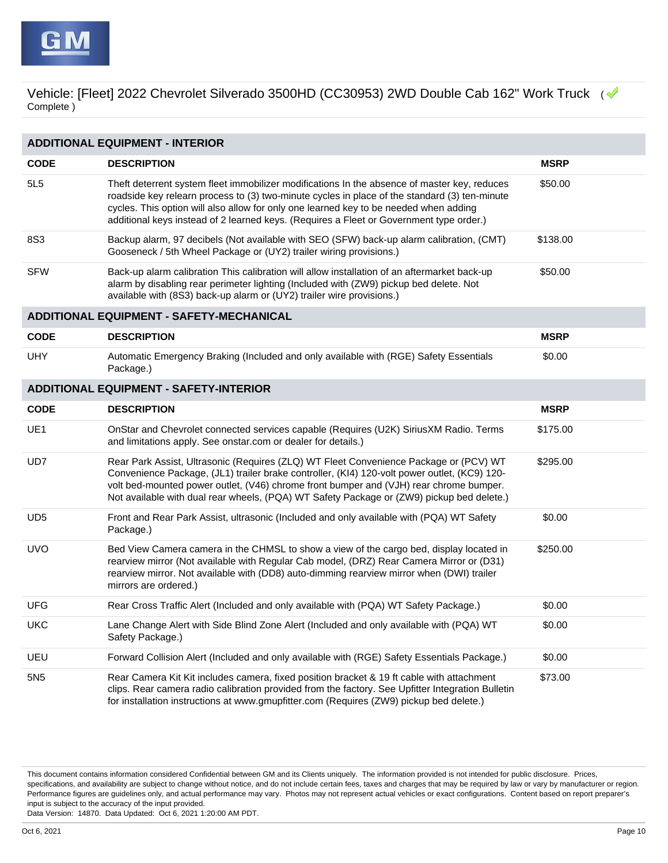| <b>ADDITIONAL EQUIPMENT - INTERIOR</b> |                                                                                                                                                                                                                                                                                                                                                                                   |             |  |
|----------------------------------------|-----------------------------------------------------------------------------------------------------------------------------------------------------------------------------------------------------------------------------------------------------------------------------------------------------------------------------------------------------------------------------------|-------------|--|
| <b>CODE</b>                            | <b>DESCRIPTION</b>                                                                                                                                                                                                                                                                                                                                                                | <b>MSRP</b> |  |
| 5L5                                    | Theft deterrent system fleet immobilizer modifications In the absence of master key, reduces<br>roadside key relearn process to (3) two-minute cycles in place of the standard (3) ten-minute<br>cycles. This option will also allow for only one learned key to be needed when adding<br>additional keys instead of 2 learned keys. (Requires a Fleet or Government type order.) | \$50.00     |  |
| 8S3                                    | Backup alarm, 97 decibels (Not available with SEO (SFW) back-up alarm calibration, (CMT)<br>Gooseneck / 5th Wheel Package or (UY2) trailer wiring provisions.)                                                                                                                                                                                                                    | \$138.00    |  |
| <b>SFW</b>                             | Back-up alarm calibration This calibration will allow installation of an aftermarket back-up<br>alarm by disabling rear perimeter lighting (Included with (ZW9) pickup bed delete. Not<br>available with (8S3) back-up alarm or (UY2) trailer wire provisions.)                                                                                                                   | \$50.00     |  |
|                                        | <b>ADDITIONAL EQUIPMENT - SAFETY-MECHANICAL</b>                                                                                                                                                                                                                                                                                                                                   |             |  |
| <b>CODE</b>                            | <b>DESCRIPTION</b>                                                                                                                                                                                                                                                                                                                                                                | <b>MSRP</b> |  |
| <b>UHY</b>                             | Automatic Emergency Braking (Included and only available with (RGE) Safety Essentials<br>Package.)                                                                                                                                                                                                                                                                                | \$0.00      |  |
|                                        | <b>ADDITIONAL EQUIPMENT - SAFETY-INTERIOR</b>                                                                                                                                                                                                                                                                                                                                     |             |  |
| <b>CODE</b>                            | <b>DESCRIPTION</b>                                                                                                                                                                                                                                                                                                                                                                | <b>MSRP</b> |  |
| UE1                                    | OnStar and Chevrolet connected services capable (Requires (U2K) SiriusXM Radio. Terms<br>and limitations apply. See onstar.com or dealer for details.)                                                                                                                                                                                                                            | \$175.00    |  |
| UD7                                    | Rear Park Assist, Ultrasonic (Requires (ZLQ) WT Fleet Convenience Package or (PCV) WT<br>Convenience Package, (JL1) trailer brake controller, (KI4) 120-volt power outlet, (KC9) 120-<br>volt bed-mounted power outlet, (V46) chrome front bumper and (VJH) rear chrome bumper.<br>Not available with dual rear wheels, (PQA) WT Safety Package or (ZW9) pickup bed delete.)      | \$295.00    |  |
| UD <sub>5</sub>                        | Front and Rear Park Assist, ultrasonic (Included and only available with (PQA) WT Safety<br>Package.)                                                                                                                                                                                                                                                                             | \$0.00      |  |
| <b>UVO</b>                             | Bed View Camera camera in the CHMSL to show a view of the cargo bed, display located in<br>rearview mirror (Not available with Regular Cab model, (DRZ) Rear Camera Mirror or (D31)<br>rearview mirror. Not available with (DD8) auto-dimming rearview mirror when (DWI) trailer<br>mirrors are ordered.)                                                                         | \$250.00    |  |
| <b>UFG</b>                             | Rear Cross Traffic Alert (Included and only available with (PQA) WT Safety Package.)                                                                                                                                                                                                                                                                                              | \$0.00      |  |
| <b>UKC</b>                             | Lane Change Alert with Side Blind Zone Alert (Included and only available with (PQA) WT<br>Safety Package.)                                                                                                                                                                                                                                                                       | \$0.00      |  |
| UEU                                    | Forward Collision Alert (Included and only available with (RGE) Safety Essentials Package.)                                                                                                                                                                                                                                                                                       | \$0.00      |  |
| 5N <sub>5</sub>                        | Rear Camera Kit Kit includes camera, fixed position bracket & 19 ft cable with attachment<br>clips. Rear camera radio calibration provided from the factory. See Upfitter Integration Bulletin<br>for installation instructions at www.gmupfitter.com (Requires (ZW9) pickup bed delete.)                                                                                         | \$73.00     |  |

This document contains information considered Confidential between GM and its Clients uniquely. The information provided is not intended for public disclosure. Prices, specifications, and availability are subject to change without notice, and do not include certain fees, taxes and charges that may be required by law or vary by manufacturer or region. Performance figures are guidelines only, and actual performance may vary. Photos may not represent actual vehicles or exact configurations. Content based on report preparer's input is subject to the accuracy of the input provided.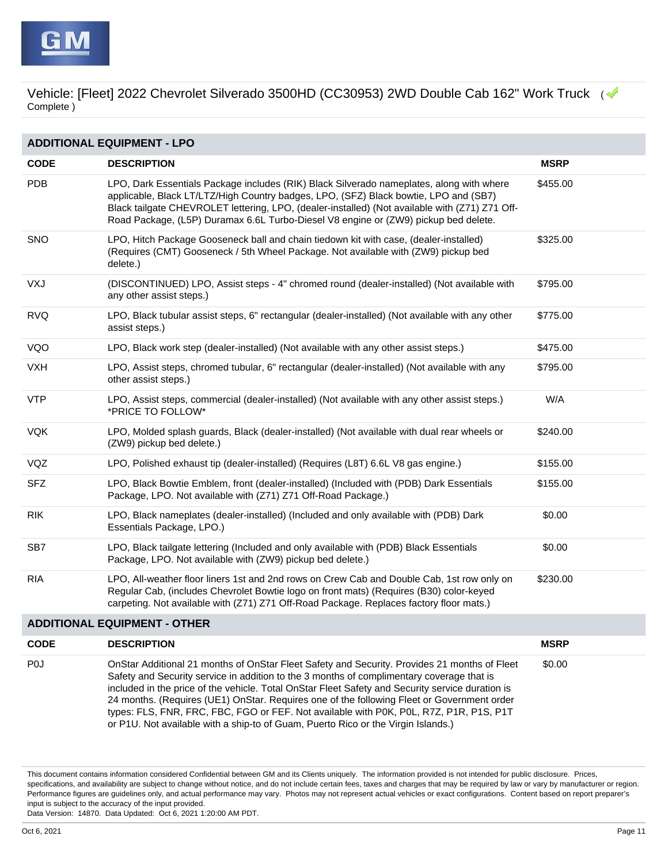

| <b>ADDITIONAL EQUIPMENT - LPO</b>   |                                                                                                                                                                                                                                                                                                                                                                                                                                                                                                                                                                            |             |  |  |
|-------------------------------------|----------------------------------------------------------------------------------------------------------------------------------------------------------------------------------------------------------------------------------------------------------------------------------------------------------------------------------------------------------------------------------------------------------------------------------------------------------------------------------------------------------------------------------------------------------------------------|-------------|--|--|
| <b>CODE</b>                         | <b>DESCRIPTION</b>                                                                                                                                                                                                                                                                                                                                                                                                                                                                                                                                                         | <b>MSRP</b> |  |  |
| <b>PDB</b>                          | LPO, Dark Essentials Package includes (RIK) Black Silverado nameplates, along with where<br>applicable, Black LT/LTZ/High Country badges, LPO, (SFZ) Black bowtie, LPO and (SB7)<br>Black tailgate CHEVROLET lettering, LPO, (dealer-installed) (Not available with (Z71) Z71 Off-<br>Road Package, (L5P) Duramax 6.6L Turbo-Diesel V8 engine or (ZW9) pickup bed delete.                                                                                                                                                                                                  | \$455.00    |  |  |
| <b>SNO</b>                          | LPO, Hitch Package Gooseneck ball and chain tiedown kit with case, (dealer-installed)<br>(Requires (CMT) Gooseneck / 5th Wheel Package. Not available with (ZW9) pickup bed<br>delete.)                                                                                                                                                                                                                                                                                                                                                                                    | \$325.00    |  |  |
| <b>VXJ</b>                          | (DISCONTINUED) LPO, Assist steps - 4" chromed round (dealer-installed) (Not available with<br>any other assist steps.)                                                                                                                                                                                                                                                                                                                                                                                                                                                     | \$795.00    |  |  |
| <b>RVQ</b>                          | LPO, Black tubular assist steps, 6" rectangular (dealer-installed) (Not available with any other<br>assist steps.)                                                                                                                                                                                                                                                                                                                                                                                                                                                         | \$775.00    |  |  |
| VQO                                 | LPO, Black work step (dealer-installed) (Not available with any other assist steps.)                                                                                                                                                                                                                                                                                                                                                                                                                                                                                       | \$475.00    |  |  |
| <b>VXH</b>                          | LPO, Assist steps, chromed tubular, 6" rectangular (dealer-installed) (Not available with any<br>other assist steps.)                                                                                                                                                                                                                                                                                                                                                                                                                                                      | \$795.00    |  |  |
| <b>VTP</b>                          | LPO, Assist steps, commercial (dealer-installed) (Not available with any other assist steps.)<br>*PRICE TO FOLLOW*                                                                                                                                                                                                                                                                                                                                                                                                                                                         | W/A         |  |  |
| <b>VQK</b>                          | LPO, Molded splash guards, Black (dealer-installed) (Not available with dual rear wheels or<br>(ZW9) pickup bed delete.)                                                                                                                                                                                                                                                                                                                                                                                                                                                   | \$240.00    |  |  |
| VQZ                                 | LPO, Polished exhaust tip (dealer-installed) (Requires (L8T) 6.6L V8 gas engine.)                                                                                                                                                                                                                                                                                                                                                                                                                                                                                          | \$155.00    |  |  |
| <b>SFZ</b>                          | LPO, Black Bowtie Emblem, front (dealer-installed) (Included with (PDB) Dark Essentials<br>Package, LPO. Not available with (Z71) Z71 Off-Road Package.)                                                                                                                                                                                                                                                                                                                                                                                                                   | \$155.00    |  |  |
| <b>RIK</b>                          | LPO, Black nameplates (dealer-installed) (Included and only available with (PDB) Dark<br>Essentials Package, LPO.)                                                                                                                                                                                                                                                                                                                                                                                                                                                         | \$0.00      |  |  |
| SB7                                 | LPO, Black tailgate lettering (Included and only available with (PDB) Black Essentials<br>Package, LPO. Not available with (ZW9) pickup bed delete.)                                                                                                                                                                                                                                                                                                                                                                                                                       | \$0.00      |  |  |
| <b>RIA</b>                          | LPO, All-weather floor liners 1st and 2nd rows on Crew Cab and Double Cab, 1st row only on<br>Regular Cab, (includes Chevrolet Bowtie logo on front mats) (Requires (B30) color-keyed<br>carpeting. Not available with (Z71) Z71 Off-Road Package. Replaces factory floor mats.)                                                                                                                                                                                                                                                                                           | \$230.00    |  |  |
| <b>ADDITIONAL EQUIPMENT - OTHER</b> |                                                                                                                                                                                                                                                                                                                                                                                                                                                                                                                                                                            |             |  |  |
| <b>CODE</b>                         | <b>DESCRIPTION</b>                                                                                                                                                                                                                                                                                                                                                                                                                                                                                                                                                         | <b>MSRP</b> |  |  |
| P <sub>0</sub>                      | OnStar Additional 21 months of OnStar Fleet Safety and Security. Provides 21 months of Fleet<br>Safety and Security service in addition to the 3 months of complimentary coverage that is<br>included in the price of the vehicle. Total OnStar Fleet Safety and Security service duration is<br>24 months. (Requires (UE1) OnStar. Requires one of the following Fleet or Government order<br>types: FLS, FNR, FRC, FBC, FGO or FEF. Not available with P0K, P0L, R7Z, P1R, P1S, P1T<br>or P1U. Not available with a ship-to of Guam, Puerto Rico or the Virgin Islands.) | \$0.00      |  |  |

This document contains information considered Confidential between GM and its Clients uniquely. The information provided is not intended for public disclosure. Prices, specifications, and availability are subject to change without notice, and do not include certain fees, taxes and charges that may be required by law or vary by manufacturer or region. Performance figures are guidelines only, and actual performance may vary. Photos may not represent actual vehicles or exact configurations. Content based on report preparer's input is subject to the accuracy of the input provided.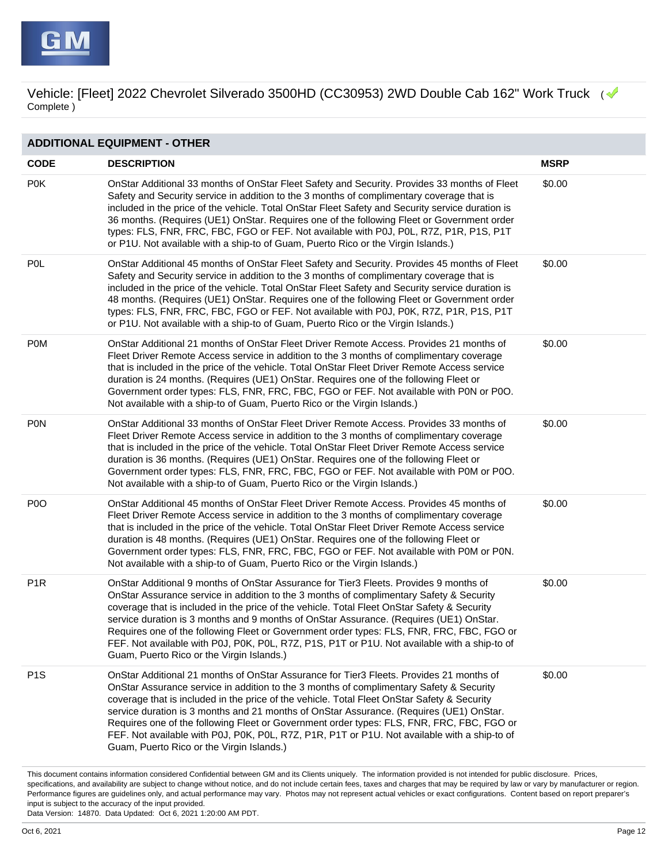

| <b>ADDITIONAL EQUIPMENT - OTHER</b> |                                                                                                                                                                                                                                                                                                                                                                                                                                                                                                                                                                                                                        |             |
|-------------------------------------|------------------------------------------------------------------------------------------------------------------------------------------------------------------------------------------------------------------------------------------------------------------------------------------------------------------------------------------------------------------------------------------------------------------------------------------------------------------------------------------------------------------------------------------------------------------------------------------------------------------------|-------------|
| <b>CODE</b>                         | <b>DESCRIPTION</b>                                                                                                                                                                                                                                                                                                                                                                                                                                                                                                                                                                                                     | <b>MSRP</b> |
| P0K                                 | OnStar Additional 33 months of OnStar Fleet Safety and Security. Provides 33 months of Fleet<br>Safety and Security service in addition to the 3 months of complimentary coverage that is<br>included in the price of the vehicle. Total OnStar Fleet Safety and Security service duration is<br>36 months. (Requires (UE1) OnStar. Requires one of the following Fleet or Government order<br>types: FLS, FNR, FRC, FBC, FGO or FEF. Not available with P0J, P0L, R7Z, P1R, P1S, P1T<br>or P1U. Not available with a ship-to of Guam, Puerto Rico or the Virgin Islands.)                                             | \$0.00      |
| <b>POL</b>                          | OnStar Additional 45 months of OnStar Fleet Safety and Security. Provides 45 months of Fleet<br>Safety and Security service in addition to the 3 months of complimentary coverage that is<br>included in the price of the vehicle. Total OnStar Fleet Safety and Security service duration is<br>48 months. (Requires (UE1) OnStar. Requires one of the following Fleet or Government order<br>types: FLS, FNR, FRC, FBC, FGO or FEF. Not available with P0J, P0K, R7Z, P1R, P1S, P1T<br>or P1U. Not available with a ship-to of Guam, Puerto Rico or the Virgin Islands.)                                             | \$0.00      |
| <b>POM</b>                          | OnStar Additional 21 months of OnStar Fleet Driver Remote Access. Provides 21 months of<br>Fleet Driver Remote Access service in addition to the 3 months of complimentary coverage<br>that is included in the price of the vehicle. Total OnStar Fleet Driver Remote Access service<br>duration is 24 months. (Requires (UE1) OnStar. Requires one of the following Fleet or<br>Government order types: FLS, FNR, FRC, FBC, FGO or FEF. Not available with P0N or P0O.<br>Not available with a ship-to of Guam, Puerto Rico or the Virgin Islands.)                                                                   | \$0.00      |
| <b>PON</b>                          | OnStar Additional 33 months of OnStar Fleet Driver Remote Access. Provides 33 months of<br>Fleet Driver Remote Access service in addition to the 3 months of complimentary coverage<br>that is included in the price of the vehicle. Total OnStar Fleet Driver Remote Access service<br>duration is 36 months. (Requires (UE1) OnStar. Requires one of the following Fleet or<br>Government order types: FLS, FNR, FRC, FBC, FGO or FEF. Not available with P0M or P0O.<br>Not available with a ship-to of Guam, Puerto Rico or the Virgin Islands.)                                                                   | \$0.00      |
| P <sub>0</sub>                      | OnStar Additional 45 months of OnStar Fleet Driver Remote Access. Provides 45 months of<br>Fleet Driver Remote Access service in addition to the 3 months of complimentary coverage<br>that is included in the price of the vehicle. Total OnStar Fleet Driver Remote Access service<br>duration is 48 months. (Requires (UE1) OnStar. Requires one of the following Fleet or<br>Government order types: FLS, FNR, FRC, FBC, FGO or FEF. Not available with P0M or P0N.<br>Not available with a ship-to of Guam, Puerto Rico or the Virgin Islands.)                                                                   | \$0.00      |
| P <sub>1R</sub>                     | OnStar Additional 9 months of OnStar Assurance for Tier3 Fleets. Provides 9 months of<br>OnStar Assurance service in addition to the 3 months of complimentary Safety & Security<br>coverage that is included in the price of the vehicle. Total Fleet OnStar Safety & Security<br>service duration is 3 months and 9 months of OnStar Assurance. (Requires (UE1) OnStar.<br>Requires one of the following Fleet or Government order types: FLS, FNR, FRC, FBC, FGO or<br>FEF. Not available with P0J, P0K, P0L, R7Z, P1S, P1T or P1U. Not available with a ship-to of<br>Guam, Puerto Rico or the Virgin Islands.)    | \$0.00      |
| P <sub>1</sub> S                    | OnStar Additional 21 months of OnStar Assurance for Tier3 Fleets. Provides 21 months of<br>OnStar Assurance service in addition to the 3 months of complimentary Safety & Security<br>coverage that is included in the price of the vehicle. Total Fleet OnStar Safety & Security<br>service duration is 3 months and 21 months of OnStar Assurance. (Requires (UE1) OnStar.<br>Requires one of the following Fleet or Government order types: FLS, FNR, FRC, FBC, FGO or<br>FEF. Not available with P0J, P0K, P0L, R7Z, P1R, P1T or P1U. Not available with a ship-to of<br>Guam, Puerto Rico or the Virgin Islands.) | \$0.00      |

This document contains information considered Confidential between GM and its Clients uniquely. The information provided is not intended for public disclosure. Prices, specifications, and availability are subject to change without notice, and do not include certain fees, taxes and charges that may be required by law or vary by manufacturer or region. Performance figures are guidelines only, and actual performance may vary. Photos may not represent actual vehicles or exact configurations. Content based on report preparer's input is subject to the accuracy of the input provided.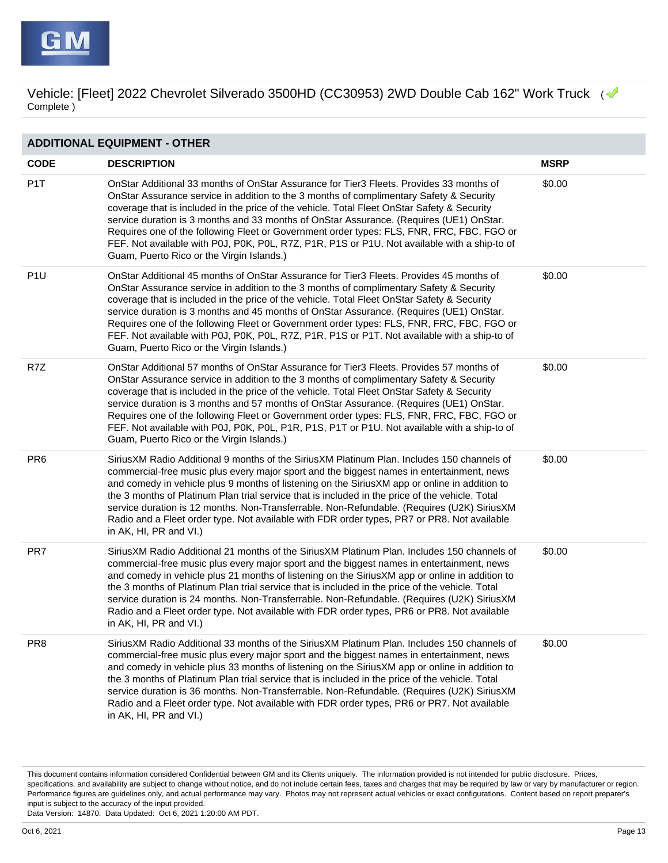

| <b>ADDITIONAL EQUIPMENT - OTHER</b> |                                                                                                                                                                                                                                                                                                                                                                                                                                                                                                                                                                                                                        |             |  |
|-------------------------------------|------------------------------------------------------------------------------------------------------------------------------------------------------------------------------------------------------------------------------------------------------------------------------------------------------------------------------------------------------------------------------------------------------------------------------------------------------------------------------------------------------------------------------------------------------------------------------------------------------------------------|-------------|--|
| <b>CODE</b>                         | <b>DESCRIPTION</b>                                                                                                                                                                                                                                                                                                                                                                                                                                                                                                                                                                                                     | <b>MSRP</b> |  |
| P <sub>1</sub> T                    | OnStar Additional 33 months of OnStar Assurance for Tier3 Fleets. Provides 33 months of<br>OnStar Assurance service in addition to the 3 months of complimentary Safety & Security<br>coverage that is included in the price of the vehicle. Total Fleet OnStar Safety & Security<br>service duration is 3 months and 33 months of OnStar Assurance. (Requires (UE1) OnStar.<br>Requires one of the following Fleet or Government order types: FLS, FNR, FRC, FBC, FGO or<br>FEF. Not available with P0J, P0K, P0L, R7Z, P1R, P1S or P1U. Not available with a ship-to of<br>Guam, Puerto Rico or the Virgin Islands.) | \$0.00      |  |
| P <sub>1U</sub>                     | OnStar Additional 45 months of OnStar Assurance for Tier3 Fleets. Provides 45 months of<br>OnStar Assurance service in addition to the 3 months of complimentary Safety & Security<br>coverage that is included in the price of the vehicle. Total Fleet OnStar Safety & Security<br>service duration is 3 months and 45 months of OnStar Assurance. (Requires (UE1) OnStar.<br>Requires one of the following Fleet or Government order types: FLS, FNR, FRC, FBC, FGO or<br>FEF. Not available with P0J, P0K, P0L, R7Z, P1R, P1S or P1T. Not available with a ship-to of<br>Guam, Puerto Rico or the Virgin Islands.) | \$0.00      |  |
| R7Z                                 | OnStar Additional 57 months of OnStar Assurance for Tier3 Fleets. Provides 57 months of<br>OnStar Assurance service in addition to the 3 months of complimentary Safety & Security<br>coverage that is included in the price of the vehicle. Total Fleet OnStar Safety & Security<br>service duration is 3 months and 57 months of OnStar Assurance. (Requires (UE1) OnStar.<br>Requires one of the following Fleet or Government order types: FLS, FNR, FRC, FBC, FGO or<br>FEF. Not available with P0J, P0K, P0L, P1R, P1S, P1T or P1U. Not available with a ship-to of<br>Guam, Puerto Rico or the Virgin Islands.) | \$0.00      |  |
| PR <sub>6</sub>                     | SiriusXM Radio Additional 9 months of the SiriusXM Platinum Plan. Includes 150 channels of<br>commercial-free music plus every major sport and the biggest names in entertainment, news<br>and comedy in vehicle plus 9 months of listening on the SiriusXM app or online in addition to<br>the 3 months of Platinum Plan trial service that is included in the price of the vehicle. Total<br>service duration is 12 months. Non-Transferrable. Non-Refundable. (Requires (U2K) SiriusXM<br>Radio and a Fleet order type. Not available with FDR order types, PR7 or PR8. Not available<br>in AK, HI, PR and VI.)     | \$0.00      |  |
| PR7                                 | SiriusXM Radio Additional 21 months of the SiriusXM Platinum Plan. Includes 150 channels of<br>commercial-free music plus every major sport and the biggest names in entertainment, news<br>and comedy in vehicle plus 21 months of listening on the SiriusXM app or online in addition to<br>the 3 months of Platinum Plan trial service that is included in the price of the vehicle. Total<br>service duration is 24 months. Non-Transferrable. Non-Refundable. (Requires (U2K) SiriusXM<br>Radio and a Fleet order type. Not available with FDR order types, PR6 or PR8. Not available<br>in AK, HI, PR and VI.)   | \$0.00      |  |
| PR <sub>8</sub>                     | Sirius XM Radio Additional 33 months of the Sirius XM Platinum Plan. Includes 150 channels of<br>commercial-free music plus every major sport and the biggest names in entertainment, news<br>and comedy in vehicle plus 33 months of listening on the SiriusXM app or online in addition to<br>the 3 months of Platinum Plan trial service that is included in the price of the vehicle. Total<br>service duration is 36 months. Non-Transferrable. Non-Refundable. (Requires (U2K) SiriusXM<br>Radio and a Fleet order type. Not available with FDR order types, PR6 or PR7. Not available<br>in AK, HI, PR and VI.) | \$0.00      |  |

This document contains information considered Confidential between GM and its Clients uniquely. The information provided is not intended for public disclosure. Prices, specifications, and availability are subject to change without notice, and do not include certain fees, taxes and charges that may be required by law or vary by manufacturer or region. Performance figures are guidelines only, and actual performance may vary. Photos may not represent actual vehicles or exact configurations. Content based on report preparer's input is subject to the accuracy of the input provided.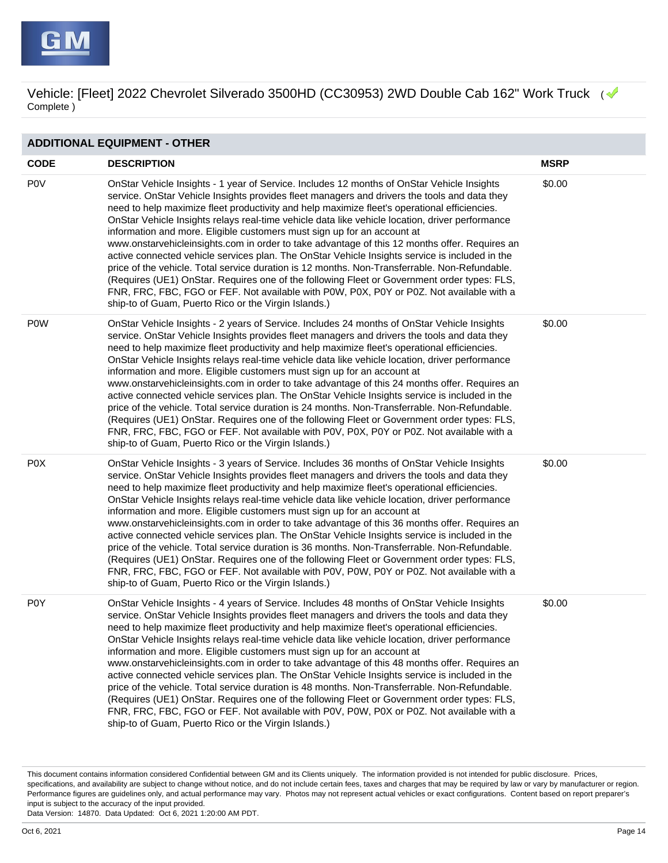

| <b>ADDITIONAL EQUIPMENT - OTHER</b> |                                                                                                                                                                                                                                                                                                                                                                                                                                                                                                                                                                                                                                                                                                                                                                                                                                                                                                                                                                                                                                  |             |
|-------------------------------------|----------------------------------------------------------------------------------------------------------------------------------------------------------------------------------------------------------------------------------------------------------------------------------------------------------------------------------------------------------------------------------------------------------------------------------------------------------------------------------------------------------------------------------------------------------------------------------------------------------------------------------------------------------------------------------------------------------------------------------------------------------------------------------------------------------------------------------------------------------------------------------------------------------------------------------------------------------------------------------------------------------------------------------|-------------|
| <b>CODE</b>                         | <b>DESCRIPTION</b>                                                                                                                                                                                                                                                                                                                                                                                                                                                                                                                                                                                                                                                                                                                                                                                                                                                                                                                                                                                                               | <b>MSRP</b> |
| <b>POV</b>                          | OnStar Vehicle Insights - 1 year of Service. Includes 12 months of OnStar Vehicle Insights<br>service. On Star Vehicle Insights provides fleet managers and drivers the tools and data they<br>need to help maximize fleet productivity and help maximize fleet's operational efficiencies.<br>OnStar Vehicle Insights relays real-time vehicle data like vehicle location, driver performance<br>information and more. Eligible customers must sign up for an account at<br>www.onstarvehicleinsights.com in order to take advantage of this 12 months offer. Requires an<br>active connected vehicle services plan. The OnStar Vehicle Insights service is included in the<br>price of the vehicle. Total service duration is 12 months. Non-Transferrable. Non-Refundable.<br>(Requires (UE1) OnStar. Requires one of the following Fleet or Government order types: FLS,<br>FNR, FRC, FBC, FGO or FEF. Not available with P0W, P0X, P0Y or P0Z. Not available with a<br>ship-to of Guam, Puerto Rico or the Virgin Islands.) | \$0.00      |
| <b>POW</b>                          | OnStar Vehicle Insights - 2 years of Service. Includes 24 months of OnStar Vehicle Insights<br>service. OnStar Vehicle Insights provides fleet managers and drivers the tools and data they<br>need to help maximize fleet productivity and help maximize fleet's operational efficiencies.<br>OnStar Vehicle Insights relays real-time vehicle data like vehicle location, driver performance<br>information and more. Eligible customers must sign up for an account at<br>www.onstarvehicleinsights.com in order to take advantage of this 24 months offer. Requires an<br>active connected vehicle services plan. The OnStar Vehicle Insights service is included in the<br>price of the vehicle. Total service duration is 24 months. Non-Transferrable. Non-Refundable.<br>(Requires (UE1) OnStar. Requires one of the following Fleet or Government order types: FLS,<br>FNR, FRC, FBC, FGO or FEF. Not available with P0V, P0X, P0Y or P0Z. Not available with a<br>ship-to of Guam, Puerto Rico or the Virgin Islands.) | \$0.00      |
| P <sub>0</sub> X                    | OnStar Vehicle Insights - 3 years of Service. Includes 36 months of OnStar Vehicle Insights<br>service. OnStar Vehicle Insights provides fleet managers and drivers the tools and data they<br>need to help maximize fleet productivity and help maximize fleet's operational efficiencies.<br>OnStar Vehicle Insights relays real-time vehicle data like vehicle location, driver performance<br>information and more. Eligible customers must sign up for an account at<br>www.onstarvehicleinsights.com in order to take advantage of this 36 months offer. Requires an<br>active connected vehicle services plan. The OnStar Vehicle Insights service is included in the<br>price of the vehicle. Total service duration is 36 months. Non-Transferrable. Non-Refundable.<br>(Requires (UE1) OnStar. Requires one of the following Fleet or Government order types: FLS,<br>FNR, FRC, FBC, FGO or FEF. Not available with P0V, P0W, P0Y or P0Z. Not available with a<br>ship-to of Guam, Puerto Rico or the Virgin Islands.) | \$0.00      |
| P <sub>0</sub> Y                    | OnStar Vehicle Insights - 4 years of Service. Includes 48 months of OnStar Vehicle Insights<br>service. OnStar Vehicle Insights provides fleet managers and drivers the tools and data they<br>need to help maximize fleet productivity and help maximize fleet's operational efficiencies.<br>OnStar Vehicle Insights relays real-time vehicle data like vehicle location, driver performance<br>information and more. Eligible customers must sign up for an account at<br>www.onstarvehicleinsights.com in order to take advantage of this 48 months offer. Requires an<br>active connected vehicle services plan. The OnStar Vehicle Insights service is included in the<br>price of the vehicle. Total service duration is 48 months. Non-Transferrable. Non-Refundable.<br>(Requires (UE1) OnStar. Requires one of the following Fleet or Government order types: FLS,<br>FNR, FRC, FBC, FGO or FEF. Not available with P0V, P0W, P0X or P0Z. Not available with a<br>ship-to of Guam, Puerto Rico or the Virgin Islands.) | \$0.00      |

This document contains information considered Confidential between GM and its Clients uniquely. The information provided is not intended for public disclosure. Prices, specifications, and availability are subject to change without notice, and do not include certain fees, taxes and charges that may be required by law or vary by manufacturer or region. Performance figures are guidelines only, and actual performance may vary. Photos may not represent actual vehicles or exact configurations. Content based on report preparer's input is subject to the accuracy of the input provided.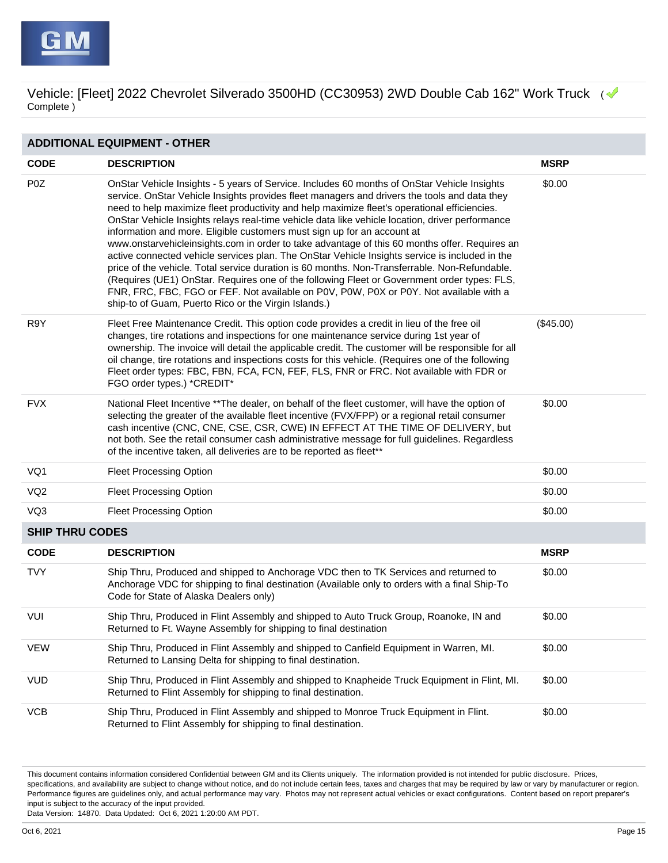

| <b>ADDITIONAL EQUIPMENT - OTHER</b> |                                                                                                                                                                                                                                                                                                                                                                                                                                                                                                                                                                                                                                                                                                                                                                                                                                                                                                                                                                                                                                |             |  |
|-------------------------------------|--------------------------------------------------------------------------------------------------------------------------------------------------------------------------------------------------------------------------------------------------------------------------------------------------------------------------------------------------------------------------------------------------------------------------------------------------------------------------------------------------------------------------------------------------------------------------------------------------------------------------------------------------------------------------------------------------------------------------------------------------------------------------------------------------------------------------------------------------------------------------------------------------------------------------------------------------------------------------------------------------------------------------------|-------------|--|
| <b>CODE</b>                         | <b>DESCRIPTION</b>                                                                                                                                                                                                                                                                                                                                                                                                                                                                                                                                                                                                                                                                                                                                                                                                                                                                                                                                                                                                             | <b>MSRP</b> |  |
| P <sub>0</sub> Z                    | OnStar Vehicle Insights - 5 years of Service. Includes 60 months of OnStar Vehicle Insights<br>service. OnStar Vehicle Insights provides fleet managers and drivers the tools and data they<br>need to help maximize fleet productivity and help maximize fleet's operational efficiencies.<br>OnStar Vehicle Insights relays real-time vehicle data like vehicle location, driver performance<br>information and more. Eligible customers must sign up for an account at<br>www.onstarvehicleinsights.com in order to take advantage of this 60 months offer. Requires an<br>active connected vehicle services plan. The OnStar Vehicle Insights service is included in the<br>price of the vehicle. Total service duration is 60 months. Non-Transferrable. Non-Refundable.<br>(Requires (UE1) OnStar. Requires one of the following Fleet or Government order types: FLS,<br>FNR, FRC, FBC, FGO or FEF. Not available on P0V, P0W, P0X or P0Y. Not available with a<br>ship-to of Guam, Puerto Rico or the Virgin Islands.) | \$0.00      |  |
| R9Y                                 | Fleet Free Maintenance Credit. This option code provides a credit in lieu of the free oil<br>changes, tire rotations and inspections for one maintenance service during 1st year of<br>ownership. The invoice will detail the applicable credit. The customer will be responsible for all<br>oil change, tire rotations and inspections costs for this vehicle. (Requires one of the following<br>Fleet order types: FBC, FBN, FCA, FCN, FEF, FLS, FNR or FRC. Not available with FDR or<br>FGO order types.) *CREDIT*                                                                                                                                                                                                                                                                                                                                                                                                                                                                                                         | (\$45.00)   |  |
| <b>FVX</b>                          | National Fleet Incentive **The dealer, on behalf of the fleet customer, will have the option of<br>selecting the greater of the available fleet incentive (FVX/FPP) or a regional retail consumer<br>cash incentive (CNC, CNE, CSE, CSR, CWE) IN EFFECT AT THE TIME OF DELIVERY, but<br>not both. See the retail consumer cash administrative message for full guidelines. Regardless<br>of the incentive taken, all deliveries are to be reported as fleet**                                                                                                                                                                                                                                                                                                                                                                                                                                                                                                                                                                  | \$0.00      |  |
| VQ1                                 | <b>Fleet Processing Option</b>                                                                                                                                                                                                                                                                                                                                                                                                                                                                                                                                                                                                                                                                                                                                                                                                                                                                                                                                                                                                 | \$0.00      |  |
| VQ <sub>2</sub>                     | <b>Fleet Processing Option</b>                                                                                                                                                                                                                                                                                                                                                                                                                                                                                                                                                                                                                                                                                                                                                                                                                                                                                                                                                                                                 | \$0.00      |  |
| VQ3                                 | <b>Fleet Processing Option</b>                                                                                                                                                                                                                                                                                                                                                                                                                                                                                                                                                                                                                                                                                                                                                                                                                                                                                                                                                                                                 | \$0.00      |  |
| <b>SHIP THRU CODES</b>              |                                                                                                                                                                                                                                                                                                                                                                                                                                                                                                                                                                                                                                                                                                                                                                                                                                                                                                                                                                                                                                |             |  |
| <b>CODE</b>                         | <b>DESCRIPTION</b>                                                                                                                                                                                                                                                                                                                                                                                                                                                                                                                                                                                                                                                                                                                                                                                                                                                                                                                                                                                                             | <b>MSRP</b> |  |
| <b>TVY</b>                          | Ship Thru, Produced and shipped to Anchorage VDC then to TK Services and returned to<br>Anchorage VDC for shipping to final destination (Available only to orders with a final Ship-To<br>Code for State of Alaska Dealers only)                                                                                                                                                                                                                                                                                                                                                                                                                                                                                                                                                                                                                                                                                                                                                                                               | \$0.00      |  |
| VUI                                 | Ship Thru, Produced in Flint Assembly and shipped to Auto Truck Group, Roanoke, IN and<br>Returned to Ft. Wayne Assembly for shipping to final destination                                                                                                                                                                                                                                                                                                                                                                                                                                                                                                                                                                                                                                                                                                                                                                                                                                                                     | \$0.00      |  |
| <b>VEW</b>                          | Ship Thru, Produced in Flint Assembly and shipped to Canfield Equipment in Warren, MI.<br>Returned to Lansing Delta for shipping to final destination.                                                                                                                                                                                                                                                                                                                                                                                                                                                                                                                                                                                                                                                                                                                                                                                                                                                                         | \$0.00      |  |
| <b>VUD</b>                          | Ship Thru, Produced in Flint Assembly and shipped to Knapheide Truck Equipment in Flint, MI.<br>Returned to Flint Assembly for shipping to final destination.                                                                                                                                                                                                                                                                                                                                                                                                                                                                                                                                                                                                                                                                                                                                                                                                                                                                  | \$0.00      |  |
| <b>VCB</b>                          | Ship Thru, Produced in Flint Assembly and shipped to Monroe Truck Equipment in Flint.<br>Returned to Flint Assembly for shipping to final destination.                                                                                                                                                                                                                                                                                                                                                                                                                                                                                                                                                                                                                                                                                                                                                                                                                                                                         | \$0.00      |  |

This document contains information considered Confidential between GM and its Clients uniquely. The information provided is not intended for public disclosure. Prices, specifications, and availability are subject to change without notice, and do not include certain fees, taxes and charges that may be required by law or vary by manufacturer or region. Performance figures are guidelines only, and actual performance may vary. Photos may not represent actual vehicles or exact configurations. Content based on report preparer's input is subject to the accuracy of the input provided.